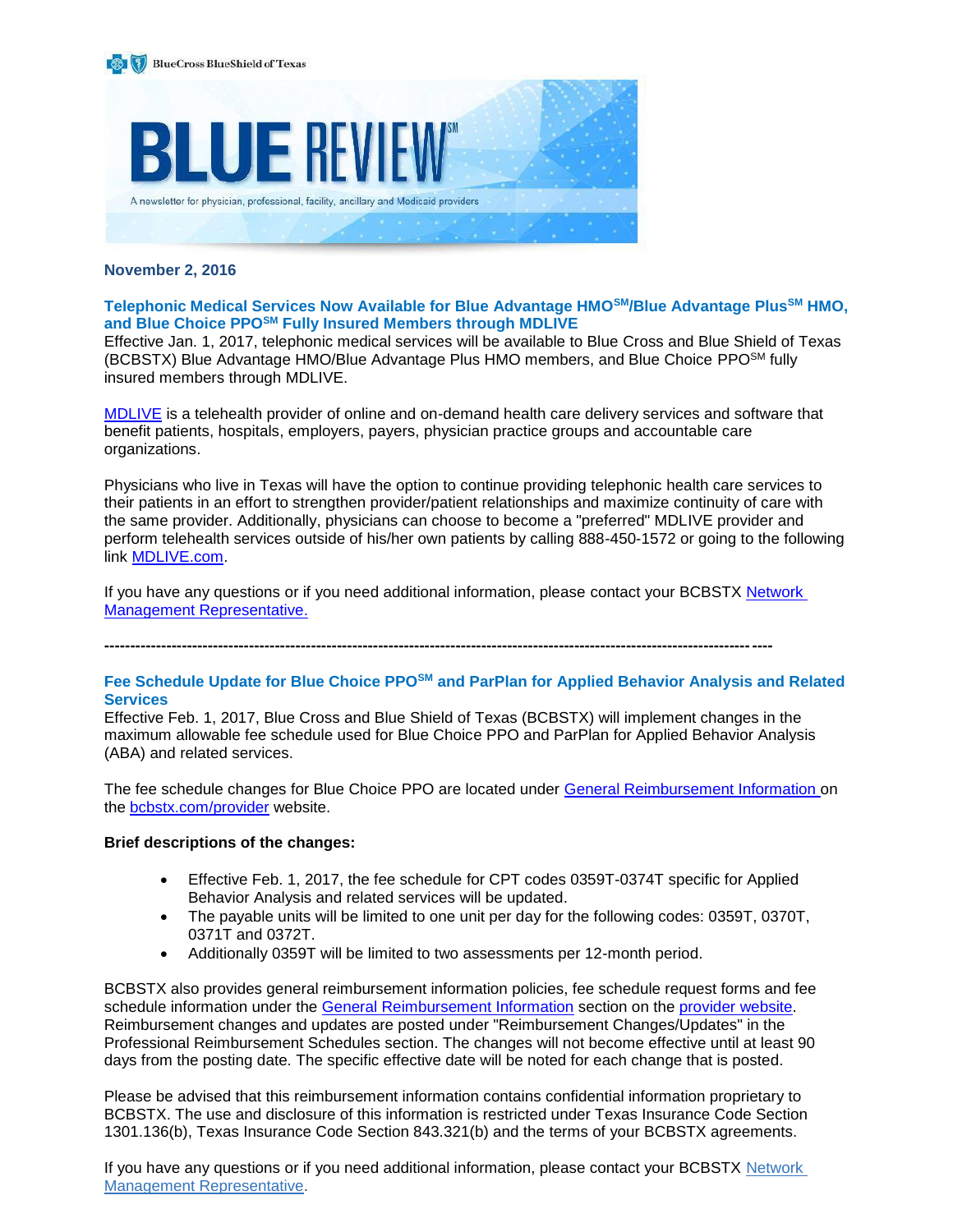

### **November 2, 2016**

**Telephonic Medical Services Now Available for Blue Advantage HMOSM/Blue Advantage PlusSM HMO, and Blue Choice PPOSM Fully Insured Members through MDLIVE**

Effective Jan. 1, 2017, telephonic medical services will be available to Blue Cross and Blue Shield of Texas (BCBSTX) Blue Advantage HMO/Blue Advantage Plus HMO members, and Blue Choice PPOSM fully insured members through MDLIVE.

[MDLIVE](https://welcome.mdlive.com/) is a telehealth provider of online and on-demand health care delivery services and software that benefit patients, hospitals, employers, payers, physician practice groups and accountable care organizations.

Physicians who live in Texas will have the option to continue providing telephonic health care services to their patients in an effort to strengthen provider/patient relationships and maximize continuity of care with the same provider. Additionally, physicians can choose to become a "preferred" MDLIVE provider and perform telehealth services outside of his/her own patients by calling 888-450-1572 or going to the following link [MDLIVE.com.](https://welcome.mdlive.com/)

If you have any questions or if you need additional information, please contact your BCBSTX [Network](mailto:http://www.bcbstx.com/provider/contact_us.html)  [Management Representative.](mailto:http://www.bcbstx.com/provider/contact_us.html)

**---------------------------------------------------------------------------------------------------------------------------------**

### **Fee Schedule Update for Blue Choice PPOSM and ParPlan for Applied Behavior Analysis and Related Services**

Effective Feb. 1, 2017, Blue Cross and Blue Shield of Texas (BCBSTX) will implement changes in the maximum allowable fee schedule used for Blue Choice PPO and ParPlan for Applied Behavior Analysis (ABA) and related services.

The fee schedule changes for Blue Choice PPO are located under [General Reimbursement Information](http://www.bcbstx.com/provider/gri/index.html) on the [bcbstx.com/provider](http://www.bcbstx.com/provider/) website.

### **Brief descriptions of the changes:**

- Effective Feb. 1, 2017, the fee schedule for CPT codes 0359T-0374T specific for Applied Behavior Analysis and related services will be updated.
- The payable units will be limited to one unit per day for the following codes: 0359T, 0370T, 0371T and 0372T.
- Additionally 0359T will be limited to two assessments per 12-month period.

BCBSTX also provides general reimbursement information policies, fee schedule request forms and fee schedule information under the [General Reimbursement Information](http://www.bcbstx.com/provider/gri/index.html) section on the [provider website.](http://www.bcbstx.com/provider/index.html) Reimbursement changes and updates are posted under "Reimbursement Changes/Updates" in the Professional Reimbursement Schedules section. The changes will not become effective until at least 90 days from the posting date. The specific effective date will be noted for each change that is posted.

Please be advised that this reimbursement information contains confidential information proprietary to BCBSTX. The use and disclosure of this information is restricted under Texas Insurance Code Section 1301.136(b), Texas Insurance Code Section 843.321(b) and the terms of your BCBSTX agreements.

If you have any questions or if you need additional information, please contact your BCBSTX [Network](http://www.bcbstx.com/provider/contact_us.html)  [Management Representative.](http://www.bcbstx.com/provider/contact_us.html)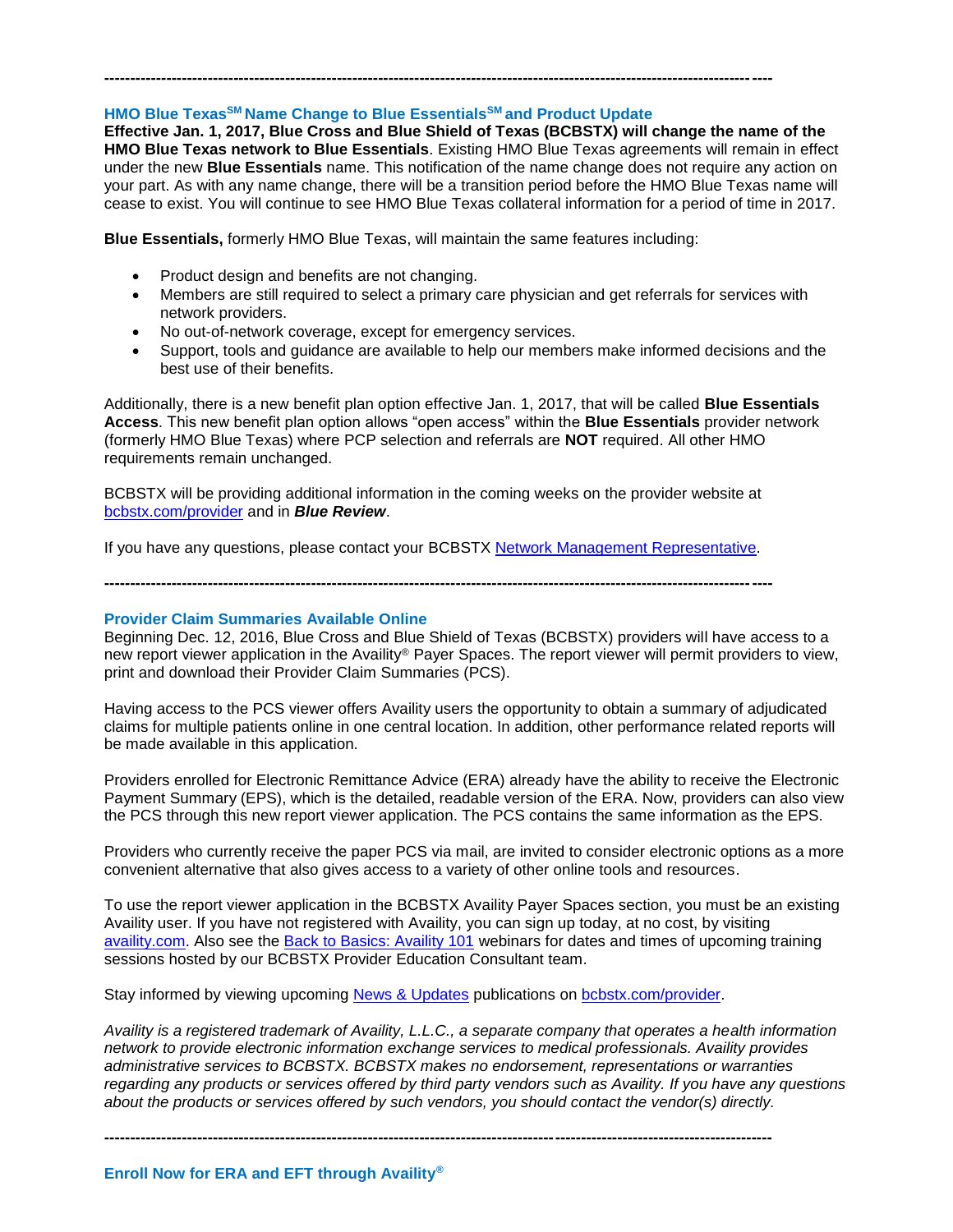# **HMO Blue TexasSM Name Change to Blue EssentialsSM and Product Update**

**Effective Jan. 1, 2017, Blue Cross and Blue Shield of Texas (BCBSTX) will change the name of the HMO Blue Texas network to Blue Essentials**. Existing HMO Blue Texas agreements will remain in effect under the new **Blue Essentials** name. This notification of the name change does not require any action on your part. As with any name change, there will be a transition period before the HMO Blue Texas name will cease to exist. You will continue to see HMO Blue Texas collateral information for a period of time in 2017.

**---------------------------------------------------------------------------------------------------------------------------------**

**Blue Essentials,** formerly HMO Blue Texas, will maintain the same features including:

- Product design and benefits are not changing.
- Members are still required to select a primary care physician and get referrals for services with network providers.
- No out-of-network coverage, except for emergency services.
- Support, tools and guidance are available to help our members make informed decisions and the best use of their benefits.

Additionally, there is a new benefit plan option effective Jan. 1, 2017, that will be called **Blue Essentials Access**. This new benefit plan option allows "open access" within the **Blue Essentials** provider network (formerly HMO Blue Texas) where PCP selection and referrals are **NOT** required. All other HMO requirements remain unchanged.

BCBSTX will be providing additional information in the coming weeks on the provider website at [bcbstx.com/provider](http://www.bcbstx.com/provider/) and in *Blue Review*.

If you have any questions, please contact your BCBSTX [Network Management Representative.](http://www.bcbstx.com/provider/contact_us.html)

**---------------------------------------------------------------------------------------------------------------------------------**

### **Provider Claim Summaries Available Online**

Beginning Dec. 12, 2016, Blue Cross and Blue Shield of Texas (BCBSTX) providers will have access to a new report viewer application in the Availity® Payer Spaces. The report viewer will permit providers to view, print and download their Provider Claim Summaries (PCS).

Having access to the PCS viewer offers Availity users the opportunity to obtain a summary of adjudicated claims for multiple patients online in one central location. In addition, other performance related reports will be made available in this application.

Providers enrolled for Electronic Remittance Advice (ERA) already have the ability to receive the Electronic Payment Summary (EPS), which is the detailed, readable version of the ERA. Now, providers can also view the PCS through this new report viewer application. The PCS contains the same information as the EPS.

Providers who currently receive the paper PCS via mail, are invited to consider electronic options as a more convenient alternative that also gives access to a variety of other online tools and resources.

To use the report viewer application in the BCBSTX Availity Payer Spaces section, you must be an existing Availity user. If you have not registered with Availity, you can sign up today, at no cost, by visiting [availity.com.](http://www.availity.com/) Also see the [Back to Basics: Availity 101](https://www.bcbstx.com/provider/training/provider_education.html) webinars for dates and times of upcoming training sessions hosted by our BCBSTX Provider Education Consultant team.

Stay informed by viewing upcoming [News & Updates](http://www.bcbstx.com/provider/news/index.html) publications on [bcbstx.com/provider.](http://www.bcbstx.com/provider/)

*Availity is a registered trademark of Availity, L.L.C., a separate company that operates a health information network to provide electronic information exchange services to medical professionals. Availity provides administrative services to BCBSTX. BCBSTX makes no endorsement, representations or warranties regarding any products or services offered by third party vendors such as Availity. If you have any questions about the products or services offered by such vendors, you should contact the vendor(s) directly.*

**---------------------------------------------------------------------------------------------------------------------------------**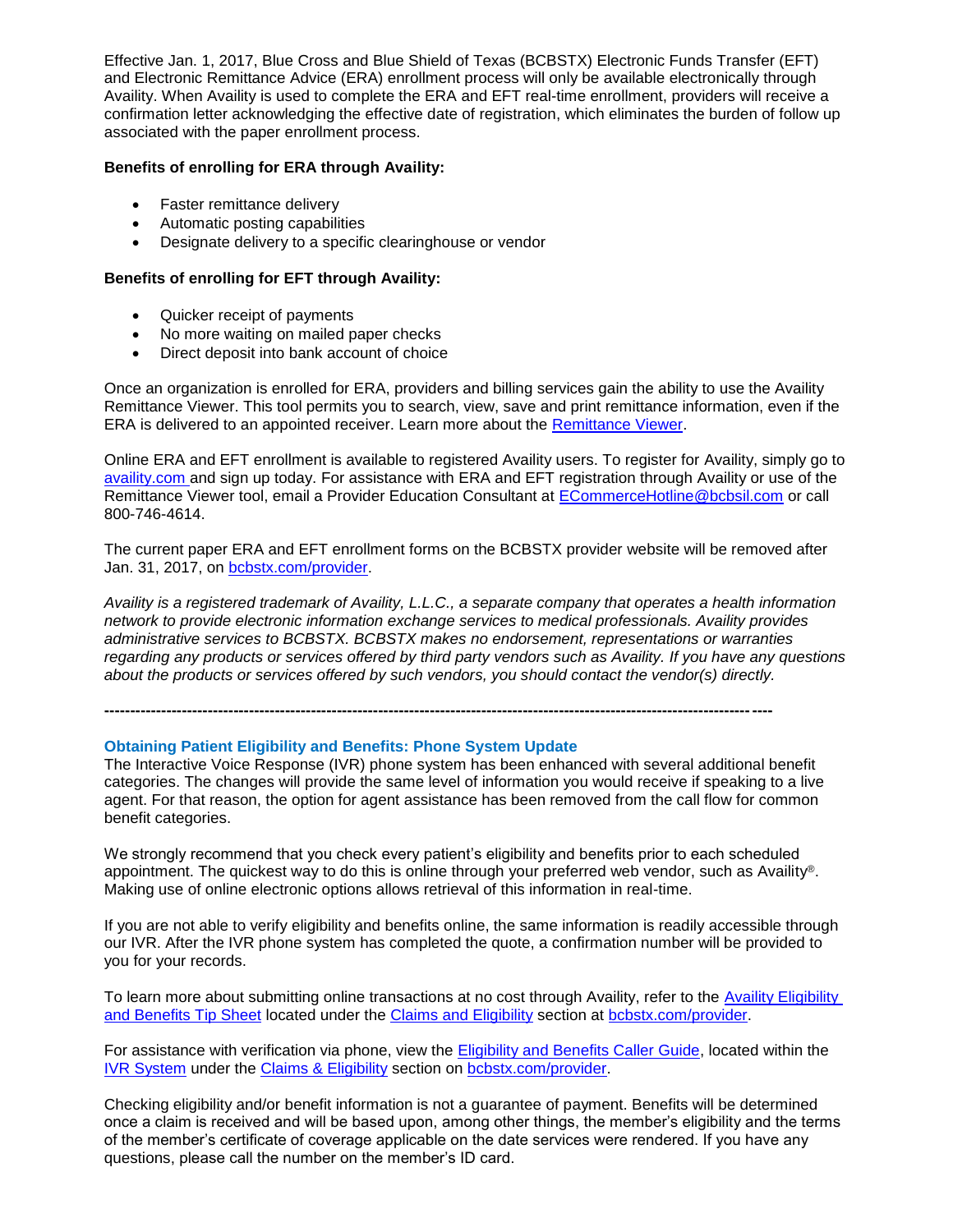Effective Jan. 1, 2017, Blue Cross and Blue Shield of Texas (BCBSTX) Electronic Funds Transfer (EFT) and Electronic Remittance Advice (ERA) enrollment process will only be available electronically through Availity. When Availity is used to complete the ERA and EFT real-time enrollment, providers will receive a confirmation letter acknowledging the effective date of registration, which eliminates the burden of follow up associated with the paper enrollment process.

### **Benefits of enrolling for ERA through Availity:**

- Faster remittance delivery
- Automatic posting capabilities
- Designate delivery to a specific clearinghouse or vendor

### **Benefits of enrolling for EFT through Availity:**

- Quicker receipt of payments
- No more waiting on mailed paper checks
- Direct deposit into bank account of choice

Once an organization is enrolled for ERA, providers and billing services gain the ability to use the Availity Remittance Viewer. This tool permits you to search, view, save and print remittance information, even if the ERA is delivered to an appointed receiver. Learn more about the [Remittance Viewer.](http://www.bcbstx.com/provider/tools/remittance_viewer_webinars.html)

Online ERA and EFT enrollment is available to registered Availity users. To register for Availity, simply go to [availity.com](https://www.availity.com/) and sign up today. For assistance with ERA and EFT registration through Availity or use of the Remittance Viewer tool, email a Provider Education Consultant at [ECommerceHotline@bcbsil.com](mailto:ECommerceHotline@bcbsil.com) or call 800-746-4614.

The current paper ERA and EFT enrollment forms on the BCBSTX provider website will be removed after Jan. 31, 2017, on [bcbstx.com/provider.](http://www.bcbstx.com/provider/)

*Availity is a registered trademark of Availity, L.L.C., a separate company that operates a health information network to provide electronic information exchange services to medical professionals. Availity provides administrative services to BCBSTX. BCBSTX makes no endorsement, representations or warranties regarding any products or services offered by third party vendors such as Availity. If you have any questions about the products or services offered by such vendors, you should contact the vendor(s) directly.*

**---------------------------------------------------------------------------------------------------------------------------------**

### **Obtaining Patient Eligibility and Benefits: Phone System Update**

The Interactive Voice Response (IVR) phone system has been enhanced with several additional benefit categories. The changes will provide the same level of information you would receive if speaking to a live agent. For that reason, the option for agent assistance has been removed from the call flow for common benefit categories.

We strongly recommend that you check every patient's eligibility and benefits prior to each scheduled appointment. The quickest way to do this is online through your preferred web vendor, such as Availity®. Making use of online electronic options allows retrieval of this information in real-time.

If you are not able to verify eligibility and benefits online, the same information is readily accessible through our IVR. After the IVR phone system has completed the quote, a confirmation number will be provided to you for your records.

To learn more about submitting online transactions at no cost through Availity, refer to the [Availity Eligibility](http://www.bcbstx.com/provider/pdf/gen_eb_prof.pdf)  [and Benefits Tip Sheet](http://www.bcbstx.com/provider/pdf/gen_eb_prof.pdf) located under the [Claims and Eligibility](http://www.bcbstx.com/provider/claims/eligibility_and_benefits.html) section at [bcbstx.com/provider.](http://www.bcbstx.com/provider/index.html)

For assistance with verification via phone, view the [Eligibility and Benefits Caller Guide,](http://www.bcbstx.com/provider/pdf/ivr_elig_ben.pdf) located within the [IVR System](http://www.bcbstx.com/provider/claims/ivr.html) under the [Claims & Eligibility](http://www.bcbstx.com/provider/claims/index.html) section on [bcbstx.com/provider.](http://www.bcbstx.com/provider/index.html)

Checking eligibility and/or benefit information is not a guarantee of payment. Benefits will be determined once a claim is received and will be based upon, among other things, the member's eligibility and the terms of the member's certificate of coverage applicable on the date services were rendered. If you have any questions, please call the number on the member's ID card.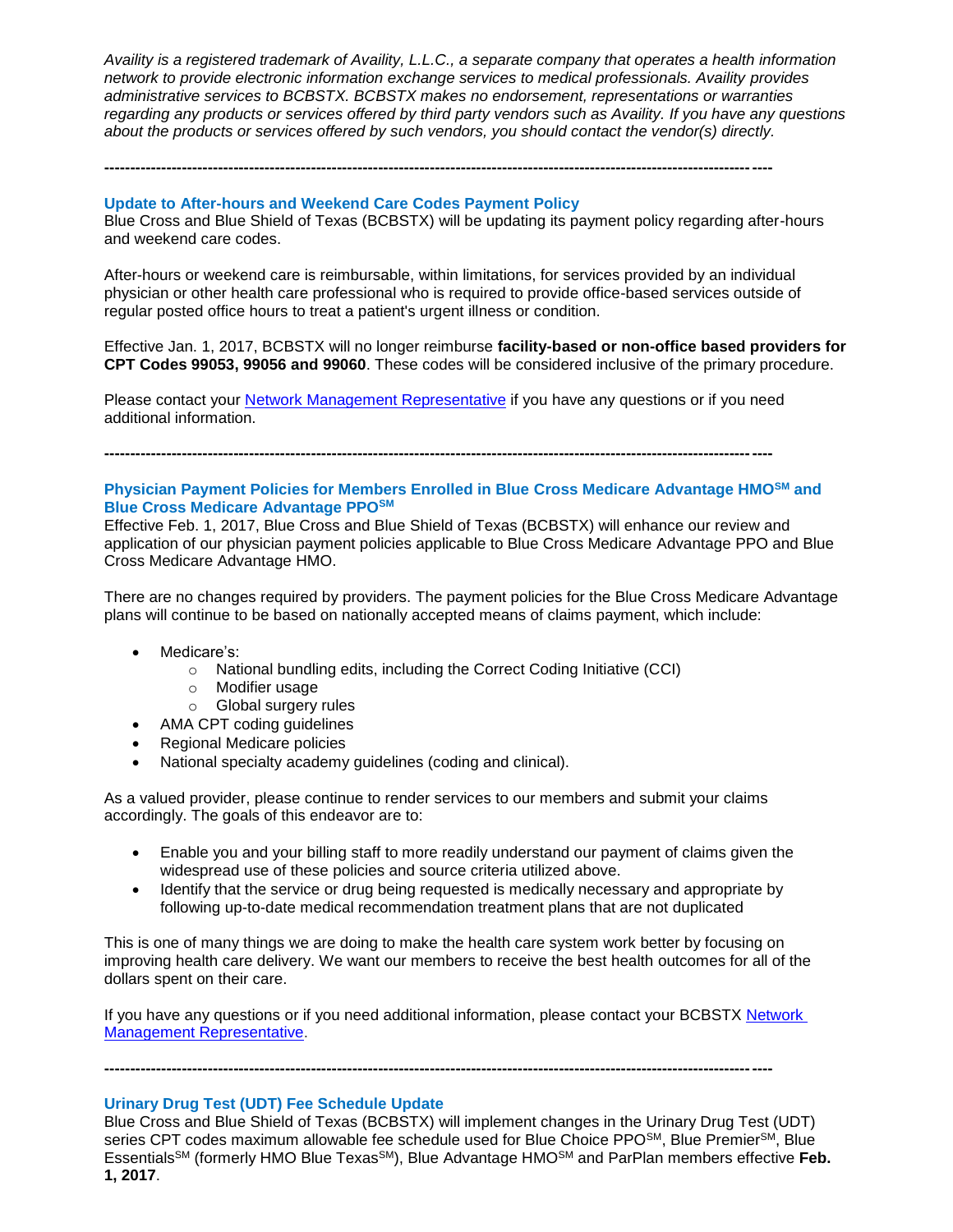*Availity is a registered trademark of Availity, L.L.C., a separate company that operates a health information network to provide electronic information exchange services to medical professionals. Availity provides administrative services to BCBSTX. BCBSTX makes no endorsement, representations or warranties regarding any products or services offered by third party vendors such as Availity. If you have any questions about the products or services offered by such vendors, you should contact the vendor(s) directly.*

#### **Update to After-hours and Weekend Care Codes Payment Policy**

Blue Cross and Blue Shield of Texas (BCBSTX) will be updating its payment policy regarding after-hours and weekend care codes.

**---------------------------------------------------------------------------------------------------------------------------------**

After-hours or weekend care is reimbursable, within limitations, for services provided by an individual physician or other health care professional who is required to provide office-based services outside of regular posted office hours to treat a patient's urgent illness or condition.

Effective Jan. 1, 2017, BCBSTX will no longer reimburse **facility-based or non-office based providers for CPT Codes 99053, 99056 and 99060**. These codes will be considered inclusive of the primary procedure.

Please contact your [Network Management Representative](http://www.bcbstx.com/provider/contact_us.html) if you have any questions or if you need additional information.

**---------------------------------------------------------------------------------------------------------------------------------**

### **Physician Payment Policies for Members Enrolled in Blue Cross Medicare Advantage HMOSM and Blue Cross Medicare Advantage PPOSM**

Effective Feb. 1, 2017, Blue Cross and Blue Shield of Texas (BCBSTX) will enhance our review and application of our physician payment policies applicable to Blue Cross Medicare Advantage PPO and Blue Cross Medicare Advantage HMO.

There are no changes required by providers. The payment policies for the Blue Cross Medicare Advantage plans will continue to be based on nationally accepted means of claims payment, which include:

- Medicare's:
	- o National bundling edits, including the Correct Coding Initiative (CCI)
	- o Modifier usage
	- o Global surgery rules
- AMA CPT coding guidelines
- Regional Medicare policies
- National specialty academy guidelines (coding and clinical).

As a valued provider, please continue to render services to our members and submit your claims accordingly. The goals of this endeavor are to:

- Enable you and your billing staff to more readily understand our payment of claims given the widespread use of these policies and source criteria utilized above.
- Identify that the service or drug being requested is medically necessary and appropriate by following up-to-date medical recommendation treatment plans that are not duplicated

This is one of many things we are doing to make the health care system work better by focusing on improving health care delivery. We want our members to receive the best health outcomes for all of the dollars spent on their care.

If you have any questions or if you need additional information, please contact your BCBSTX [Network](http://www.bcbstx.com/provider/contact_us.html)  [Management Representative.](http://www.bcbstx.com/provider/contact_us.html)

**---------------------------------------------------------------------------------------------------------------------------------**

### **Urinary Drug Test (UDT) Fee Schedule Update**

Blue Cross and Blue Shield of Texas (BCBSTX) will implement changes in the Urinary Drug Test (UDT) series CPT codes maximum allowable fee schedule used for Blue Choice PPO<sup>SM</sup>, Blue Premier<sup>SM</sup>, Blue EssentialsSM (formerly HMO Blue TexasSM), Blue Advantage HMOSM and ParPlan members effective **Feb. 1, 2017**.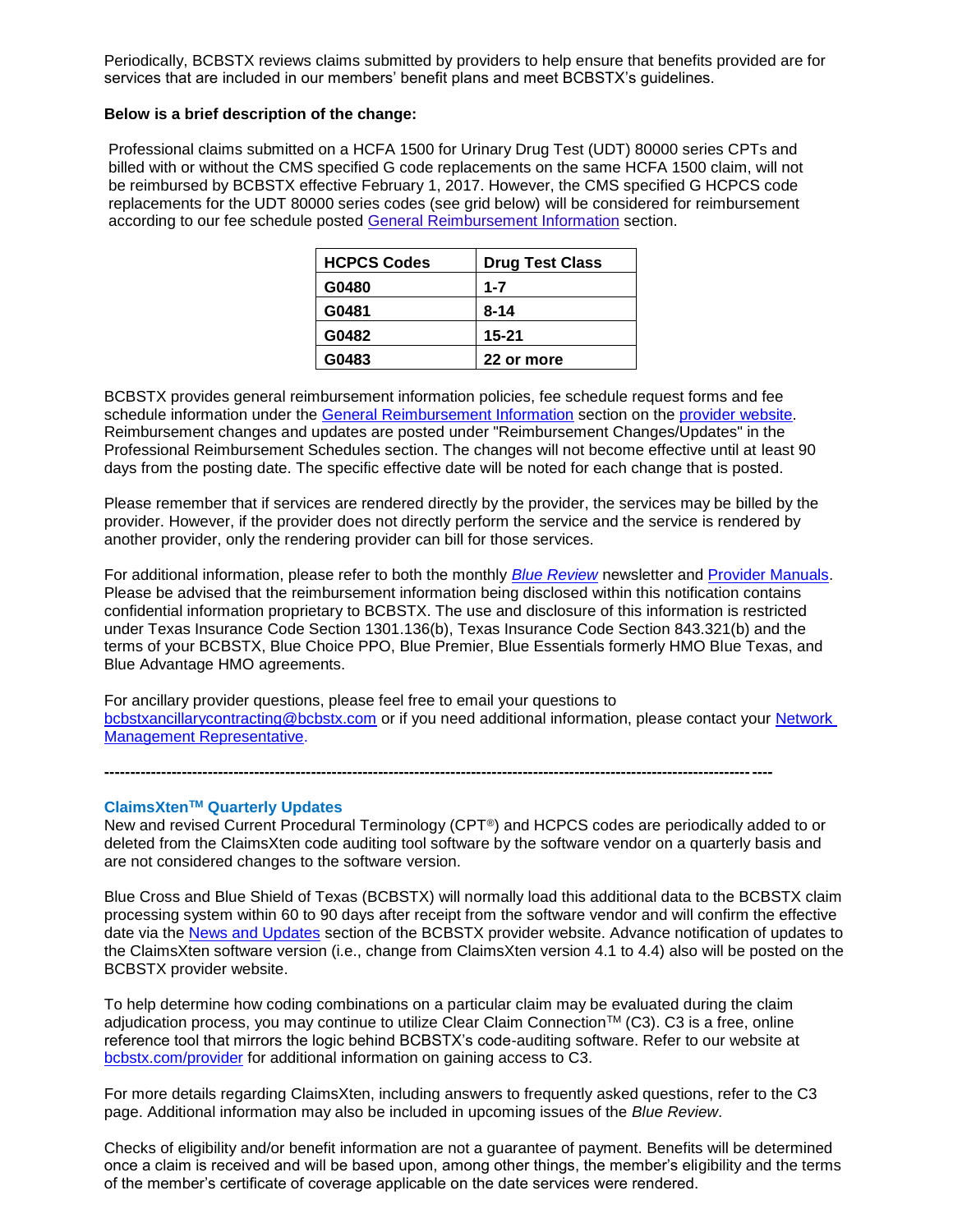Periodically, BCBSTX reviews claims submitted by providers to help ensure that benefits provided are for services that are included in our members' benefit plans and meet BCBSTX's guidelines.

#### **Below is a brief description of the change:**

Professional claims submitted on a HCFA 1500 for Urinary Drug Test (UDT) 80000 series CPTs and billed with or without the CMS specified G code replacements on the same HCFA 1500 claim, will not be reimbursed by BCBSTX effective February 1, 2017. However, the CMS specified G HCPCS code replacements for the UDT 80000 series codes (see grid below) will be considered for reimbursement according to our fee schedule posted [General Reimbursement Information](http://www.bcbstx.com/provider/gri/index.html) section.

| <b>HCPCS Codes</b> | <b>Drug Test Class</b> |
|--------------------|------------------------|
| G0480              | $1 - 7$                |
| G0481              | 8-14                   |
| G0482              | $15 - 21$              |
| G0483              | 22 or more             |

BCBSTX provides general reimbursement information policies, fee schedule request forms and fee schedule information under the [General Reimbursement Information](http://www.bcbstx.com/provider/gri/index.html) section on the [provider website.](http://www.bcbstx.com/provider/index.html) Reimbursement changes and updates are posted under "Reimbursement Changes/Updates" in the Professional Reimbursement Schedules section. The changes will not become effective until at least 90 days from the posting date. The specific effective date will be noted for each change that is posted.

Please remember that if services are rendered directly by the provider, the services may be billed by the provider. However, if the provider does not directly perform the service and the service is rendered by another provider, only the rendering provider can bill for those services.

For additional information, please refer to both the monthly *[Blue Review](http://www.bcbstx.com/provider/news/bluereview.html)* newsletter and [Provider Manuals.](http://www.bcbstx.com/provider/gri/index.html) Please be advised that the reimbursement information being disclosed within this notification contains confidential information proprietary to BCBSTX. The use and disclosure of this information is restricted under Texas Insurance Code Section 1301.136(b), Texas Insurance Code Section 843.321(b) and the terms of your BCBSTX, Blue Choice PPO, Blue Premier, Blue Essentials formerly HMO Blue Texas, and Blue Advantage HMO agreements.

For ancillary provider questions, please feel free to email your questions to [bcbstxancillarycontracting@bcbstx.com](mailto:bcbstxancillarycontracting@bcbstx.com) or if you need additional information, please contact your [Network](http://www.bcbstx.com/provider/contact_us.html)  [Management Representative.](http://www.bcbstx.com/provider/contact_us.html)

**---------------------------------------------------------------------------------------------------------------------------------**

# **ClaimsXtenTM Quarterly Updates**

New and revised Current Procedural Terminology (CPT®) and HCPCS codes are periodically added to or deleted from the ClaimsXten code auditing tool software by the software vendor on a quarterly basis and are not considered changes to the software version.

Blue Cross and Blue Shield of Texas (BCBSTX) will normally load this additional data to the BCBSTX claim processing system within 60 to 90 days after receipt from the software vendor and will confirm the effective date via the [News and Updates](http://www.bcbstx.com/provider/news/index.html) section of the BCBSTX provider website. Advance notification of updates to the ClaimsXten software version (i.e., change from ClaimsXten version 4.1 to 4.4) also will be posted on the BCBSTX provider website.

To help determine how coding combinations on a particular claim may be evaluated during the claim adjudication process, you may continue to utilize Clear Claim Connection™ (C3). C3 is a free, online reference tool that mirrors the logic behind BCBSTX's code-auditing software. Refer to our website at [bcbstx.com/provider](http://www.bcbstx.com/provider/) for additional information on gaining access to C3.

For more details regarding ClaimsXten, including answers to frequently asked questions, refer to the C3 page. Additional information may also be included in upcoming issues of the *Blue Review*.

Checks of eligibility and/or benefit information are not a guarantee of payment. Benefits will be determined once a claim is received and will be based upon, among other things, the member's eligibility and the terms of the member's certificate of coverage applicable on the date services were rendered.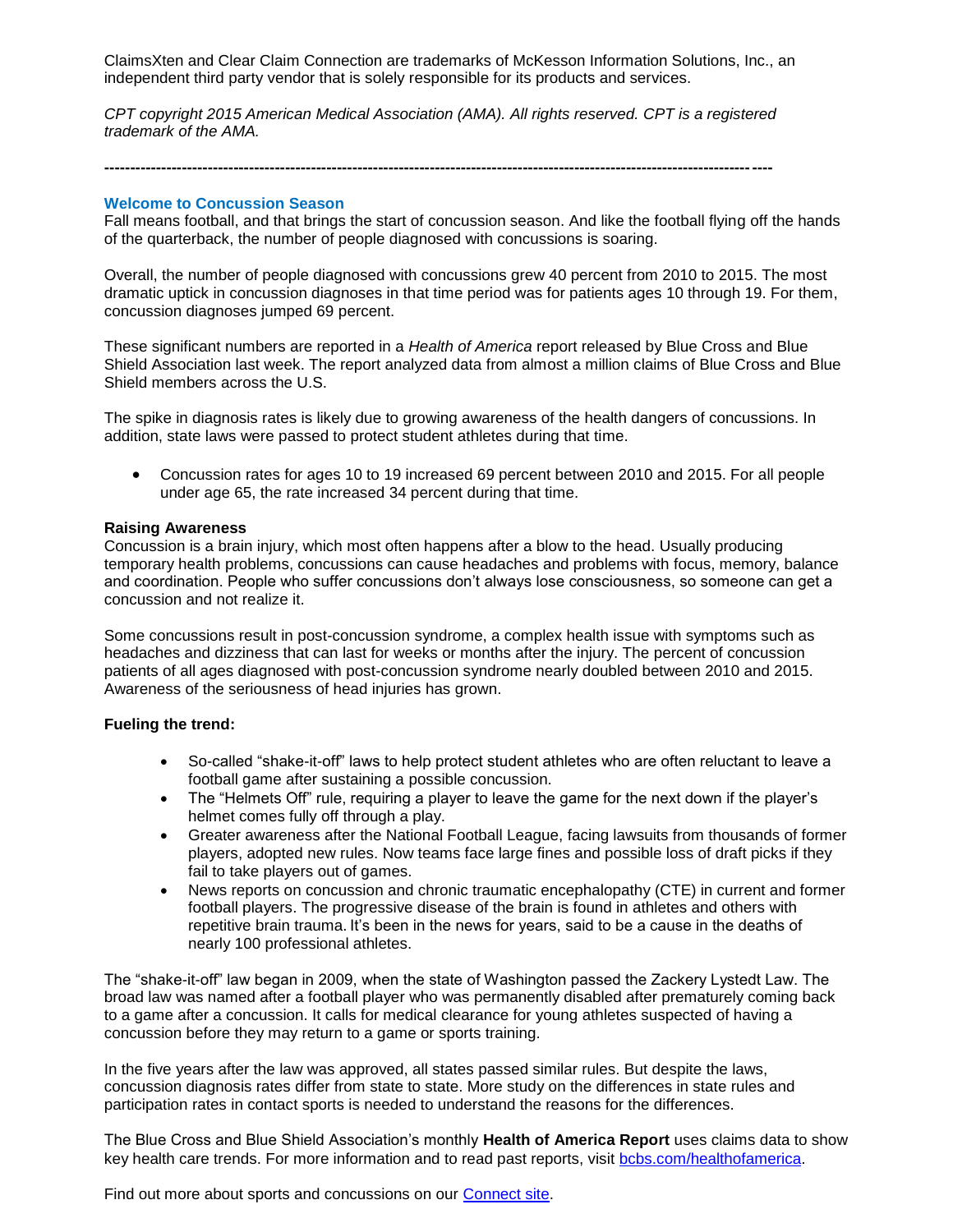ClaimsXten and Clear Claim Connection are trademarks of McKesson Information Solutions, Inc., an independent third party vendor that is solely responsible for its products and services.

*CPT copyright 2015 American Medical Association (AMA). All rights reserved. CPT is a registered trademark of the AMA.*

**---------------------------------------------------------------------------------------------------------------------------------**

### **Welcome to Concussion Season**

Fall means football, and that brings the start of concussion season. And like the football flying off the hands of the quarterback, the number of people diagnosed with concussions is soaring.

Overall, the number of people diagnosed with concussions grew 40 percent from 2010 to 2015. The most dramatic uptick in concussion diagnoses in that time period was for patients ages 10 through 19. For them, concussion diagnoses jumped 69 percent.

These significant numbers are reported in a *Health of America* report released by Blue Cross and Blue Shield Association last week. The report analyzed data from almost a million claims of Blue Cross and Blue Shield members across the U.S.

The spike in diagnosis rates is likely due to growing awareness of the health dangers of concussions. In addition, state laws were passed to protect student athletes during that time.

 Concussion rates for ages 10 to 19 increased 69 percent between 2010 and 2015. For all people under age 65, the rate increased 34 percent during that time.

#### **Raising Awareness**

Concussion is a brain injury, which most often happens after a blow to the head. Usually producing temporary health problems, concussions can cause headaches and problems with focus, memory, balance and coordination. People who suffer concussions don't always lose consciousness, so someone can get a concussion and not realize it.

Some concussions result in post-concussion syndrome, a complex health issue with symptoms such as headaches and dizziness that can last for weeks or months after the injury. The percent of concussion patients of all ages diagnosed with post-concussion syndrome nearly doubled between 2010 and 2015. Awareness of the seriousness of head injuries has grown.

#### **Fueling the trend:**

- So-called "shake-it-off" laws to help protect student athletes who are often reluctant to leave a football game after sustaining a possible concussion.
- The "Helmets Off" rule, requiring a player to leave the game for the next down if the player's helmet comes fully off through a play.
- Greater awareness after the National Football League, facing lawsuits from thousands of former players, adopted new rules. Now teams face large fines and possible loss of draft picks if they fail to take players out of games.
- News reports on concussion and chronic traumatic encephalopathy (CTE) in current and former football players. The progressive disease of the brain is found in athletes and others with repetitive brain trauma. It's been in the news for years, said to be a cause in the deaths of nearly 100 professional athletes.

The "shake-it-off" law began in 2009, when the state of Washington passed the Zackery Lystedt Law. The broad law was named after a football player who was permanently disabled after prematurely coming back to a game after a concussion. It calls for medical clearance for young athletes suspected of having a concussion before they may return to a game or sports training.

In the five years after the law was approved, all states passed similar rules. But despite the laws, concussion diagnosis rates differ from state to state. More study on the differences in state rules and participation rates in contact sports is needed to understand the reasons for the differences.

The Blue Cross and Blue Shield Association's monthly **Health of America Report** uses claims data to show key health care trends. For more information and to read past reports, visit [bcbs.com/healthofamerica.](http://www.bcbs.com/healthofamerica)

Find out more about sports and concussions on our [Connect site.](https://connect.bcbstx.com/health-and-wellness/b/weblog/archive/2015/08/13/kids-and-sports-concussions-five-things-to-know)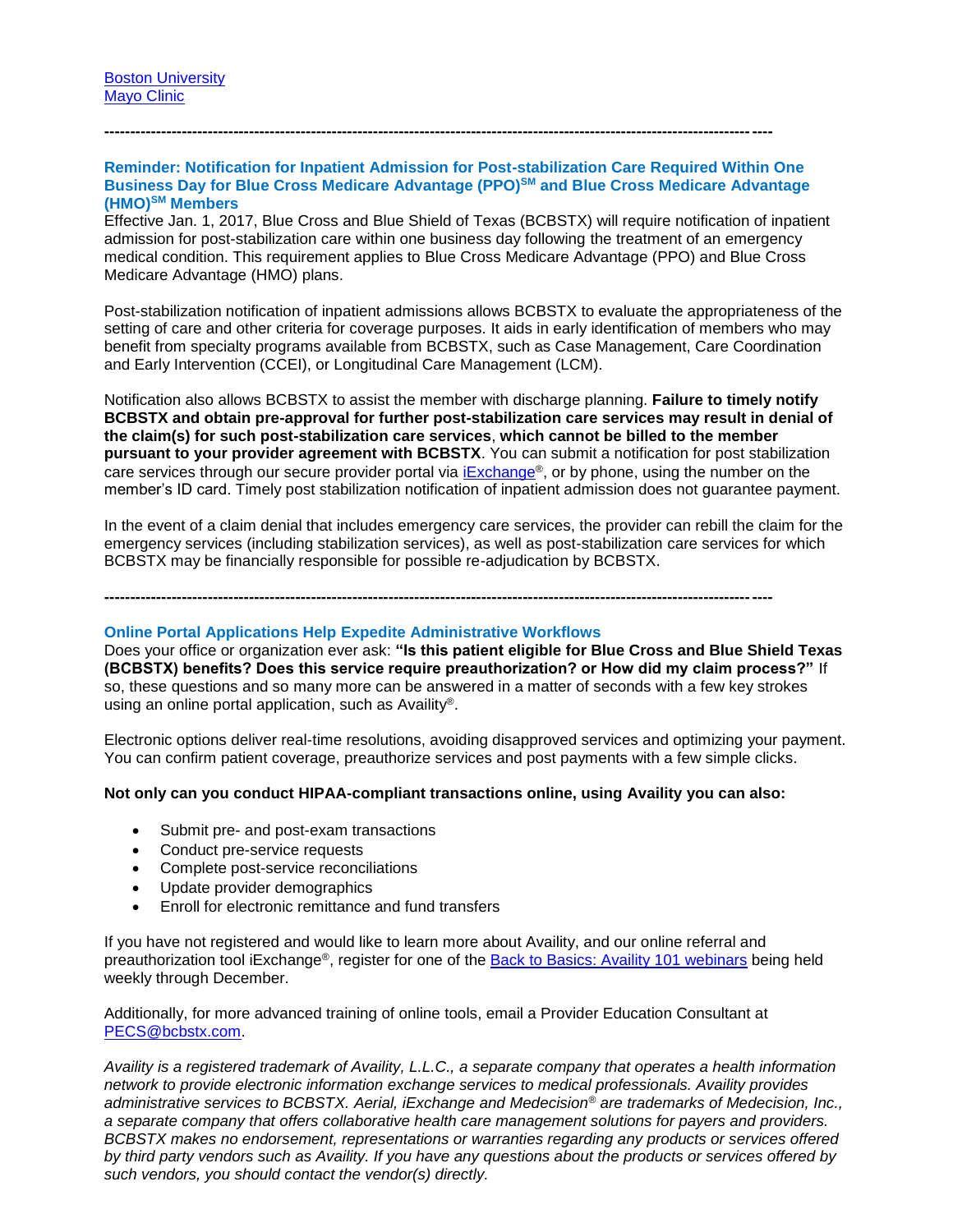### **Reminder: Notification for Inpatient Admission for Post-stabilization Care Required Within One Business Day for Blue Cross Medicare Advantage (PPO)SM and Blue Cross Medicare Advantage (HMO)SM Members**

**---------------------------------------------------------------------------------------------------------------------------------**

Effective Jan. 1, 2017, Blue Cross and Blue Shield of Texas (BCBSTX) will require notification of inpatient admission for post-stabilization care within one business day following the treatment of an emergency medical condition. This requirement applies to Blue Cross Medicare Advantage (PPO) and Blue Cross Medicare Advantage (HMO) plans.

Post-stabilization notification of inpatient admissions allows BCBSTX to evaluate the appropriateness of the setting of care and other criteria for coverage purposes. It aids in early identification of members who may benefit from specialty programs available from BCBSTX, such as Case Management, Care Coordination and Early Intervention (CCEI), or Longitudinal Care Management (LCM).

Notification also allows BCBSTX to assist the member with discharge planning. **Failure to timely notify BCBSTX and obtain pre-approval for further post-stabilization care services may result in denial of the claim(s) for such post-stabilization care services**, **which cannot be billed to the member pursuant to your provider agreement with BCBSTX**. You can submit a notification for post stabilization care services through our secure provider portal via  $iExchange$  $iExchange$ <sup>®</sup>, or by phone, using the number on the member's ID card. Timely post stabilization notification of inpatient admission does not guarantee payment.

In the event of a claim denial that includes emergency care services, the provider can rebill the claim for the emergency services (including stabilization services), as well as post-stabilization care services for which BCBSTX may be financially responsible for possible re-adjudication by BCBSTX.

**---------------------------------------------------------------------------------------------------------------------------------**

#### **Online Portal Applications Help Expedite Administrative Workflows**

Does your office or organization ever ask: **"Is this patient eligible for Blue Cross and Blue Shield Texas (BCBSTX) benefits? Does this service require preauthorization? or How did my claim process?"** If so, these questions and so many more can be answered in a matter of seconds with a few key strokes using an online portal application, such as Availity®.

Electronic options deliver real-time resolutions, avoiding disapproved services and optimizing your payment. You can confirm patient coverage, preauthorize services and post payments with a few simple clicks.

#### **Not only can you conduct HIPAA-compliant transactions online, using Availity you can also:**

- Submit pre- and post-exam transactions
- Conduct pre-service requests
- Complete post-service reconciliations
- Update provider demographics
- Enroll for electronic remittance and fund transfers

If you have not registered and would like to learn more about Availity, and our online referral and preauthorization tool iExchange®, register for one of the [Back to Basics: Availity 101 webinars](https://www.bcbstx.com/provider/training/provider_education.html) being held weekly through December.

Additionally, for more advanced training of online tools, email a Provider Education Consultant at [PECS@bcbstx.com.](mailto:PECS@bcbstx.com)

*Availity is a registered trademark of Availity, L.L.C., a separate company that operates a health information network to provide electronic information exchange services to medical professionals. Availity provides administrative services to BCBSTX. Aerial, iExchange and Medecision® are trademarks of Medecision, Inc., a separate company that offers collaborative health care management solutions for payers and providers. BCBSTX makes no endorsement, representations or warranties regarding any products or services offered by third party vendors such as Availity. If you have any questions about the products or services offered by such vendors, you should contact the vendor(s) directly.*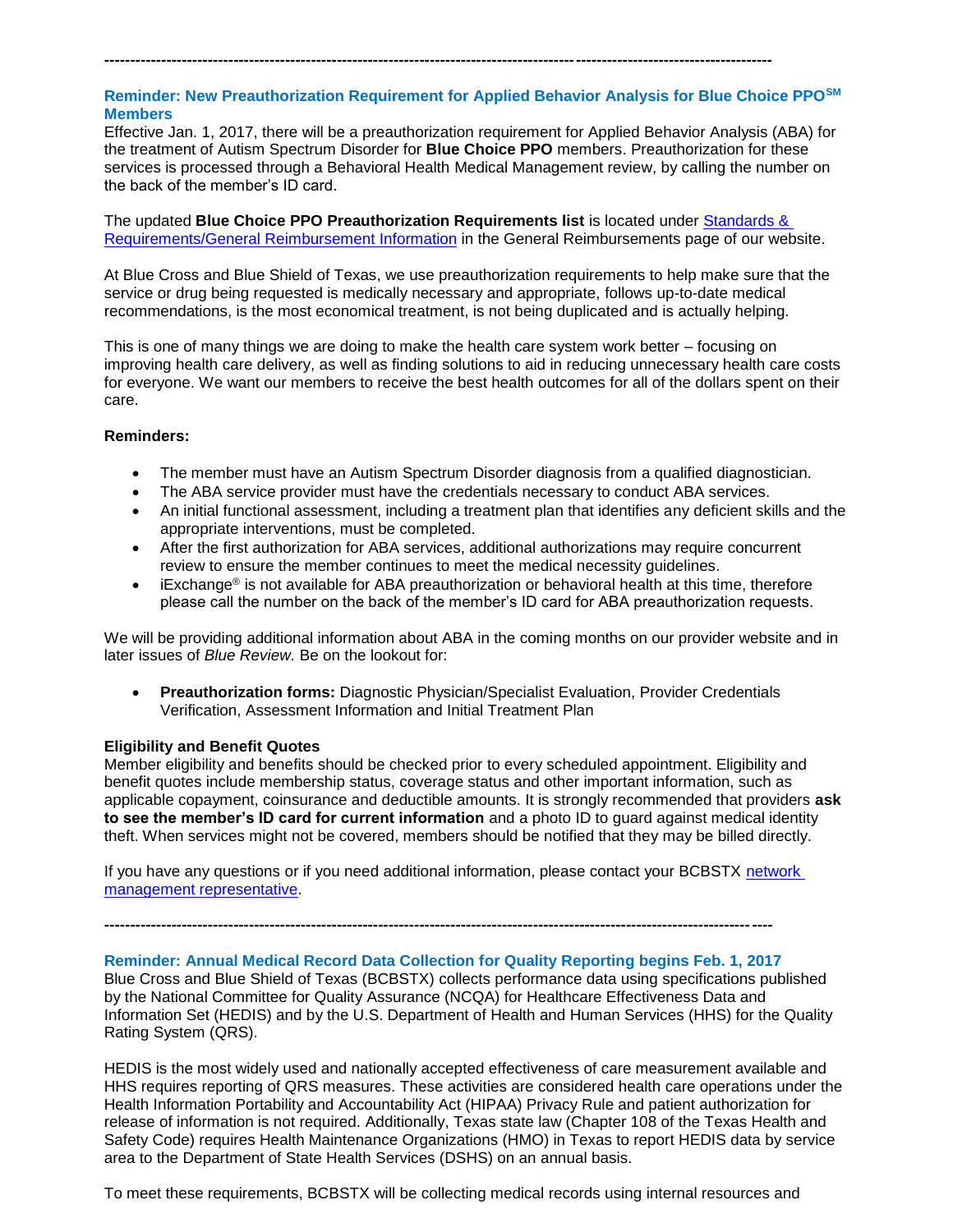# **Reminder: New Preauthorization Requirement for Applied Behavior Analysis for Blue Choice PPOSM Members**

**---------------------------------------------------------------------------------------------------------------------------------**

Effective Jan. 1, 2017, there will be a preauthorization requirement for Applied Behavior Analysis (ABA) for the treatment of Autism Spectrum Disorder for **Blue Choice PPO** members. Preauthorization for these services is processed through a Behavioral Health Medical Management review, by calling the number on the back of the member's ID card.

The updated **Blue Choice PPO Preauthorization Requirements list** is located under [Standards &](http://www.bcbstx.com/provider/gri/)  [Requirements/General Reimbursement](http://www.bcbstx.com/provider/gri/) Information in the General Reimbursements page of our website.

At Blue Cross and Blue Shield of Texas, we use preauthorization requirements to help make sure that the service or drug being requested is medically necessary and appropriate, follows up-to-date medical recommendations, is the most economical treatment, is not being duplicated and is actually helping.

This is one of many things we are doing to make the health care system work better – focusing on improving health care delivery, as well as finding solutions to aid in reducing unnecessary health care costs for everyone. We want our members to receive the best health outcomes for all of the dollars spent on their care.

### **Reminders:**

- The member must have an Autism Spectrum Disorder diagnosis from a qualified diagnostician.
- The ABA service provider must have the credentials necessary to conduct ABA services.
- An initial functional assessment, including a treatment plan that identifies any deficient skills and the appropriate interventions, must be completed.
- After the first authorization for ABA services, additional authorizations may require concurrent review to ensure the member continues to meet the medical necessity guidelines.
- iExchange® is not available for ABA preauthorization or behavioral health at this time, therefore please call the number on the back of the member's ID card for ABA preauthorization requests.

We will be providing additional information about ABA in the coming months on our provider website and in later issues of *Blue Review.* Be on the lookout for:

 **Preauthorization forms:** Diagnostic Physician/Specialist Evaluation, Provider Credentials Verification, Assessment Information and Initial Treatment Plan

### **Eligibility and Benefit Quotes**

Member eligibility and benefits should be checked prior to every scheduled appointment. Eligibility and benefit quotes include membership status, coverage status and other important information, such as applicable copayment, coinsurance and deductible amounts. It is strongly recommended that providers **ask to see the member's ID card for current information** and a photo ID to guard against medical identity theft. When services might not be covered, members should be notified that they may be billed directly.

If you have any questions or if you need additional information, please contact your BCBSTX network [management representative.](http://www.bcbstx.com/provider/contact_us.html)

**---------------------------------------------------------------------------------------------------------------------------------**

### **Reminder: Annual Medical Record Data Collection for Quality Reporting begins Feb. 1, 2017**

Blue Cross and Blue Shield of Texas (BCBSTX) collects performance data using specifications published by the National Committee for Quality Assurance (NCQA) for Healthcare Effectiveness Data and Information Set (HEDIS) and by the U.S. Department of Health and Human Services (HHS) for the Quality Rating System (QRS).

HEDIS is the most widely used and nationally accepted effectiveness of care measurement available and HHS requires reporting of QRS measures. These activities are considered health care operations under the Health Information Portability and Accountability Act (HIPAA) Privacy Rule and patient authorization for release of information is not required. Additionally, Texas state law (Chapter 108 of the Texas Health and Safety Code) requires Health Maintenance Organizations (HMO) in Texas to report HEDIS data by service area to the Department of State Health Services (DSHS) on an annual basis.

To meet these requirements, BCBSTX will be collecting medical records using internal resources and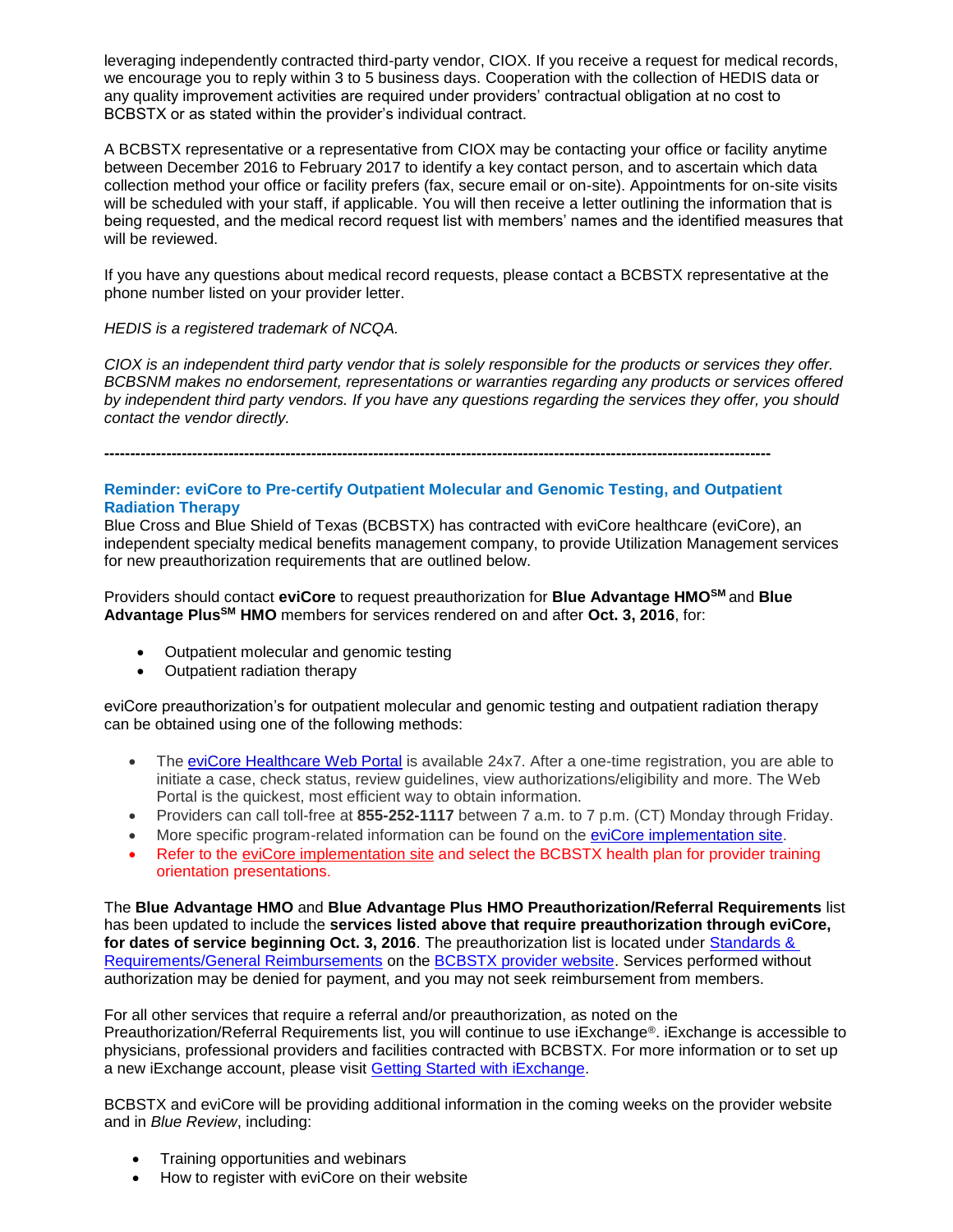leveraging independently contracted third-party vendor, CIOX. If you receive a request for medical records, we encourage you to reply within 3 to 5 business days. Cooperation with the collection of HEDIS data or any quality improvement activities are required under providers' contractual obligation at no cost to BCBSTX or as stated within the provider's individual contract.

A BCBSTX representative or a representative from CIOX may be contacting your office or facility anytime between December 2016 to February 2017 to identify a key contact person, and to ascertain which data collection method your office or facility prefers (fax, secure email or on-site). Appointments for on-site visits will be scheduled with your staff, if applicable. You will then receive a letter outlining the information that is being requested, and the medical record request list with members' names and the identified measures that will be reviewed.

If you have any questions about medical record requests, please contact a BCBSTX representative at the phone number listed on your provider letter.

### *HEDIS is a registered trademark of NCQA.*

*CIOX is an independent third party vendor that is solely responsible for the products or services they offer. BCBSNM makes no endorsement, representations or warranties regarding any products or services offered by independent third party vendors. If you have any questions regarding the services they offer, you should contact the vendor directly.*

**---------------------------------------------------------------------------------------------------------------------------------**

### **Reminder: eviCore to Pre-certify Outpatient Molecular and Genomic Testing, and Outpatient Radiation Therapy**

Blue Cross and Blue Shield of Texas (BCBSTX) has contracted with eviCore healthcare (eviCore), an independent specialty medical benefits management company, to provide Utilization Management services for new preauthorization requirements that are outlined below.

Providers should contact **eviCore** to request preauthorization for **Blue Advantage HMOSM** and **Blue Advantage PlusSM HMO** members for services rendered on and after **Oct. 3, 2016**, for:

- Outpatient molecular and genomic testing
- Outpatient radiation therapy

eviCore preauthorization's for outpatient molecular and genomic testing and outpatient radiation therapy can be obtained using one of the following methods:

- The [eviCore Healthcare Web Portal](http://www.evicore.com/) is available 24x7. After a one-time registration, you are able to initiate a case, check status, review guidelines, view authorizations/eligibility and more. The Web Portal is the quickest, most efficient way to obtain information.
- Providers can call toll-free at **855-252-1117** between 7 a.m. to 7 p.m. (CT) Monday through Friday.
- More specific program-related information can be found on the [eviCore implementation site.](https://www.carecorenational.com/page/bcbs-implementations.aspx)
- Refer to the [eviCore implementation site](https://www.carecorenational.com/page/bcbs-implementations.aspx) and select the BCBSTX health plan for provider training orientation presentations.

The **Blue Advantage HMO** and **Blue Advantage Plus HMO Preauthorization/Referral Requirements** list has been updated to include the **services listed above that require preauthorization through eviCore, for dates of service beginning Oct. 3, 2016**. The preauthorization list is located under [Standards &](http://www.bcbstx.com/provider/gri/index.html)  [Requirements/General Reimbursements](http://www.bcbstx.com/provider/gri/index.html) on the [BCBSTX provider website.](http://www.bcbstx.com/provider/) Services performed without authorization may be denied for payment, and you may not seek reimbursement from members.

For all other services that require a referral and/or preauthorization, as noted on the Preauthorization/Referral Requirements list, you will continue to use iExchange®. iExchange is accessible to physicians, professional providers and facilities contracted with BCBSTX. For more information or to set up a new iExchange account, please visit [Getting Started with iExchange](https://www.bcbstx.com/provider/tools/iexchange_index.html).

BCBSTX and eviCore will be providing additional information in the coming weeks on the provider website and in *Blue Review*, including:

- Training opportunities and webinars
- How to register with eviCore on their website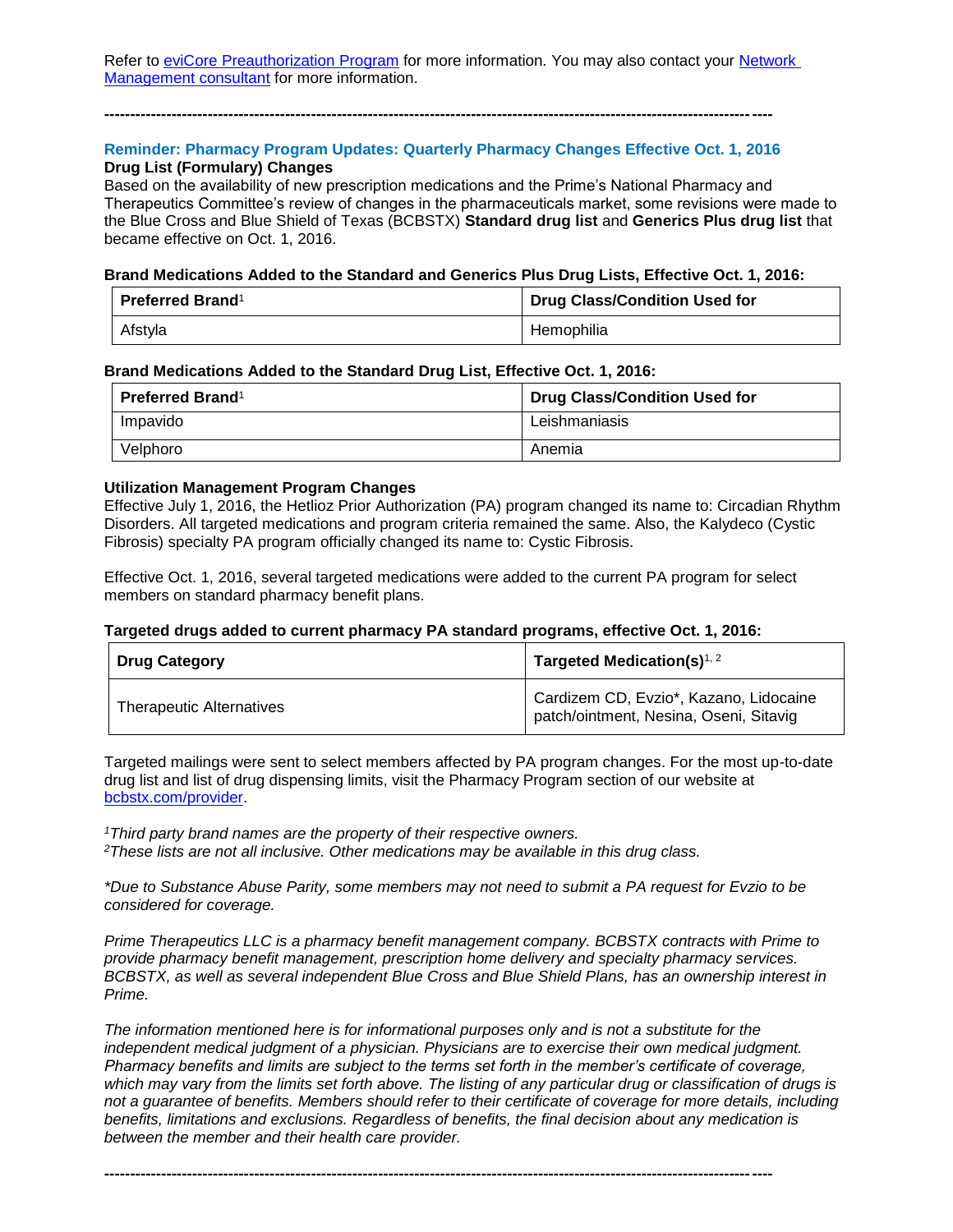Refer to eviCore [Preauthorization Program](http://www.bcbstx.com/provider/clinical/evicore.html) for more information. You may also contact your Network [Management consultant](http://www.bcbstx.com/provider/contact_us.html) for more information.

### **Reminder: Pharmacy Program Updates: Quarterly Pharmacy Changes Effective Oct. 1, 2016 Drug List (Formulary) Changes**

**---------------------------------------------------------------------------------------------------------------------------------**

Based on the availability of new prescription medications and the Prime's National Pharmacy and Therapeutics Committee's review of changes in the pharmaceuticals market, some revisions were made to the Blue Cross and Blue Shield of Texas (BCBSTX) **Standard drug list** and **Generics Plus drug list** that became effective on Oct. 1, 2016.

#### **Brand Medications Added to the Standard and Generics Plus Drug Lists, Effective Oct. 1, 2016:**

| <b>Preferred Brand</b> <sup>1</sup> | Drug Class/Condition Used for |
|-------------------------------------|-------------------------------|
| Afstyla                             | Hemophilia                    |

#### **Brand Medications Added to the Standard Drug List, Effective Oct. 1, 2016:**

| <b>Preferred Brand</b> <sup>1</sup> | <b>Drug Class/Condition Used for</b> |
|-------------------------------------|--------------------------------------|
| Impavido                            | Leishmaniasis                        |
| Velphoro                            | Anemia                               |

### **Utilization Management Program Changes**

Effective July 1, 2016, the Hetlioz Prior Authorization (PA) program changed its name to: Circadian Rhythm Disorders. All targeted medications and program criteria remained the same. Also, the Kalydeco (Cystic Fibrosis) specialty PA program officially changed its name to: Cystic Fibrosis.

Effective Oct. 1, 2016, several targeted medications were added to the current PA program for select members on standard pharmacy benefit plans.

### **Targeted drugs added to current pharmacy PA standard programs, effective Oct. 1, 2016:**

| <b>Drug Category</b>            | Targeted Medication(s) $1, 2$                                                    |
|---------------------------------|----------------------------------------------------------------------------------|
| <b>Therapeutic Alternatives</b> | Cardizem CD, Evzio*, Kazano, Lidocaine<br>patch/ointment, Nesina, Oseni, Sitavig |

Targeted mailings were sent to select members affected by PA program changes. For the most up-to-date drug list and list of drug dispensing limits, visit the Pharmacy Program section of our website at [bcbstx.com/provider.](http://www.bcbstx.com/provider/pharmacy/quantity_time.html)

*<sup>1</sup>Third party brand names are the property of their respective owners. <sup>2</sup>These lists are not all inclusive. Other medications may be available in this drug class.*

*\*Due to Substance Abuse Parity, some members may not need to submit a PA request for Evzio to be considered for coverage.*

*Prime Therapeutics LLC is a pharmacy benefit management company. BCBSTX contracts with Prime to provide pharmacy benefit management, prescription home delivery and specialty pharmacy services. BCBSTX, as well as several independent Blue Cross and Blue Shield Plans, has an ownership interest in Prime.*

*The information mentioned here is for informational purposes only and is not a substitute for the independent medical judgment of a physician. Physicians are to exercise their own medical judgment. Pharmacy benefits and limits are subject to the terms set forth in the member's certificate of coverage, which may vary from the limits set forth above. The listing of any particular drug or classification of drugs is not a guarantee of benefits. Members should refer to their certificate of coverage for more details, including benefits, limitations and exclusions. Regardless of benefits, the final decision about any medication is between the member and their health care provider.*

**---------------------------------------------------------------------------------------------------------------------------------**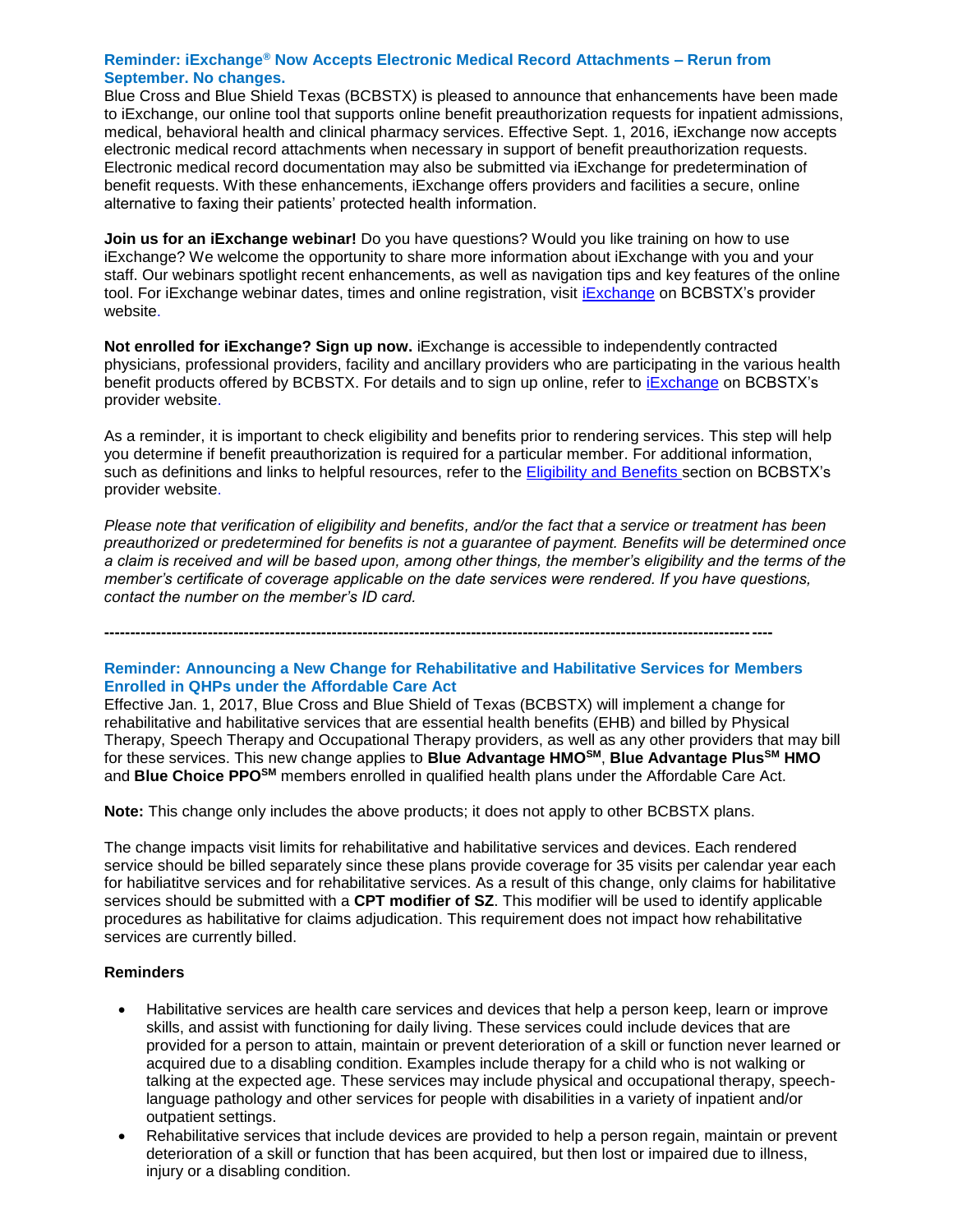### **Reminder: iExchange® Now Accepts Electronic Medical Record Attachments – Rerun from September. No changes.**

Blue Cross and Blue Shield Texas (BCBSTX) is pleased to announce that enhancements have been made to iExchange, our online tool that supports online benefit preauthorization requests for inpatient admissions, medical, behavioral health and clinical pharmacy services. Effective Sept. 1, 2016, iExchange now accepts electronic medical record attachments when necessary in support of benefit preauthorization requests. Electronic medical record documentation may also be submitted via iExchange for predetermination of benefit requests. With these enhancements, iExchange offers providers and facilities a secure, online alternative to faxing their patients' protected health information.

**Join us for an iExchange webinar!** Do you have questions? Would you like training on how to use iExchange? We welcome the opportunity to share more information about iExchange with you and your staff. Our webinars spotlight recent enhancements, as well as navigation tips and key features of the online tool. For [iExchange](http://www.bcbstx.com/provider/tools/iexchange_index.html) webinar dates, times and online registration, visit iExchange on BCBSTX's provider website.

**Not enrolled for iExchange? Sign up now.** iExchange is accessible to independently contracted physicians, professional providers, facility and ancillary providers who are participating in the various health benefit products offered by BCBSTX. For details and to sign up online, refer to *[iExchange](https://www.bcbstx.com/provider/tools/iexchange_index.html)* on BCBSTX's provider website.

As a reminder, it is important to check eligibility and benefits prior to rendering services. This step will help you determine if benefit preauthorization is required for a particular member. For additional information, such as definitions and links to helpful resources, refer to the [Eligibility and Benefits](http://www.bcbstx.com/provider/claims/eligibility_and_benefits.html) secti[on](http://www.bcbstx.com/provider) on BCBSTX's provider website.

*Please note that verification of eligibility and benefits, and/or the fact that a service or treatment has been preauthorized or predetermined for benefits is not a guarantee of payment. Benefits will be determined once a claim is received and will be based upon, among other things, the member's eligibility and the terms of the member's certificate of coverage applicable on the date services were rendered. If you have questions, contact the number on the member's ID card.*

**--------------------------------------------------------------------------------------------------------------------------------- Reminder: Announcing a New Change for Rehabilitative and Habilitative Services for Members** 

# **Enrolled in QHPs under the Affordable Care Act**

Effective Jan. 1, 2017, Blue Cross and Blue Shield of Texas (BCBSTX) will implement a change for rehabilitative and habilitative services that are essential health benefits (EHB) and billed by Physical Therapy, Speech Therapy and Occupational Therapy providers, as well as any other providers that may bill for these services. This new change applies to **Blue Advantage HMOSM**, **Blue Advantage PlusSM HMO**  and **Blue Choice PPOSM** members enrolled in qualified health plans under the Affordable Care Act.

**Note:** This change only includes the above products; it does not apply to other BCBSTX plans.

The change impacts visit limits for rehabilitative and habilitative services and devices. Each rendered service should be billed separately since these plans provide coverage for 35 visits per calendar year each for habiliatitve services and for rehabilitative services. As a result of this change, only claims for habilitative services should be submitted with a **CPT modifier of SZ**. This modifier will be used to identify applicable procedures as habilitative for claims adjudication. This requirement does not impact how rehabilitative services are currently billed.

# **Reminders**

- Habilitative services are health care services and devices that help a person keep, learn or improve skills, and assist with functioning for daily living. These services could include devices that are provided for a person to attain, maintain or prevent deterioration of a skill or function never learned or acquired due to a disabling condition. Examples include therapy for a child who is not walking or talking at the expected age. These services may include physical and occupational therapy, speechlanguage pathology and other services for people with disabilities in a variety of inpatient and/or outpatient settings.
- Rehabilitative services that include devices are provided to help a person regain, maintain or prevent deterioration of a skill or function that has been acquired, but then lost or impaired due to illness, injury or a disabling condition.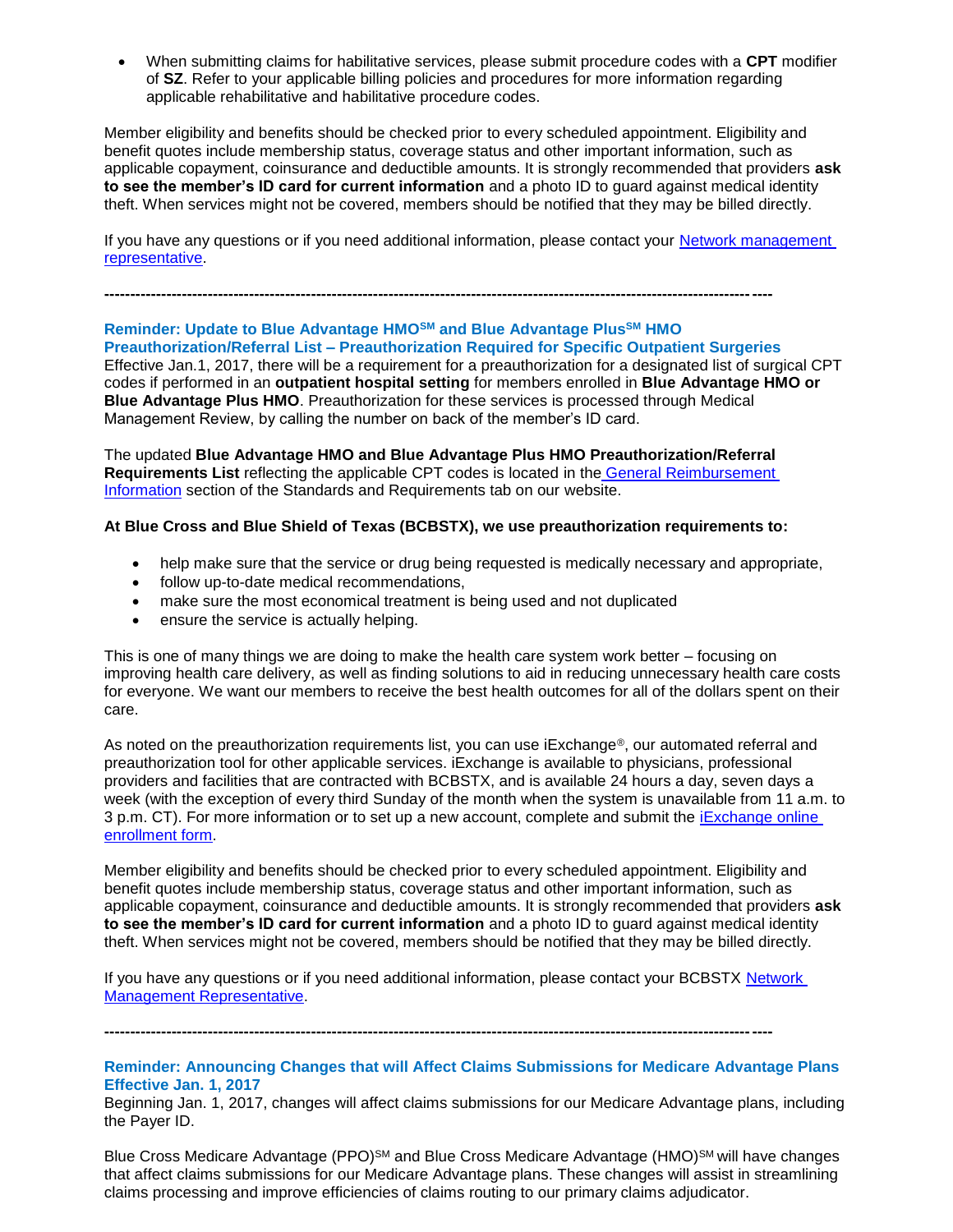When submitting claims for habilitative services, please submit procedure codes with a **CPT** modifier of **SZ**. Refer to your applicable billing policies and procedures for more information regarding applicable rehabilitative and habilitative procedure codes.

Member eligibility and benefits should be checked prior to every scheduled appointment. Eligibility and benefit quotes include membership status, coverage status and other important information, such as applicable copayment, coinsurance and deductible amounts. It is strongly recommended that providers **ask to see the member's ID card for current information** and a photo ID to guard against medical identity theft. When services might not be covered, members should be notified that they may be billed directly.

If you have any questions or if you need additional information, please contact your [Network management](http://www.bcbstx.com/provider/contact_us.html)  [representative.](http://www.bcbstx.com/provider/contact_us.html) 

### **Reminder: Update to Blue Advantage HMOSM and Blue Advantage PlusSM HMO Preauthorization/Referral List – Preauthorization Required for Specific Outpatient Surgeries**

**---------------------------------------------------------------------------------------------------------------------------------**

Effective Jan.1, 2017, there will be a requirement for a preauthorization for a designated list of surgical CPT codes if performed in an **outpatient hospital setting** for members enrolled in **Blue Advantage HMO or Blue Advantage Plus HMO**. Preauthorization for these services is processed through Medical Management Review, by calling the number on back of the member's ID card.

The updated **Blue Advantage HMO and Blue Advantage Plus HMO Preauthorization/Referral Requirements List** reflecting the applicable CPT codes is located in the [General Reimbursement](http://www.bcbstx.com/provider/gri)  [Information](http://www.bcbstx.com/provider/gri) section of the Standards and Requirements tab on our website.

# **At Blue Cross and Blue Shield of Texas (BCBSTX), we use preauthorization requirements to:**

- help make sure that the service or drug being requested is medically necessary and appropriate,
- follow up-to-date medical recommendations,
- make sure the most economical treatment is being used and not duplicated
- ensure the service is actually helping.

This is one of many things we are doing to make the health care system work better – focusing on improving health care delivery, as well as finding solutions to aid in reducing unnecessary health care costs for everyone. We want our members to receive the best health outcomes for all of the dollars spent on their care.

As noted on the preauthorization requirements list, you can use iExchange®, our automated referral and preauthorization tool for other applicable services. iExchange is available to physicians, professional providers and facilities that are contracted with BCBSTX, and is available 24 hours a day, seven days a week (with the exception of every third Sunday of the month when the system is unavailable from 11 a.m. to 3 p.m. CT). For more information or to set up a new account, complete and submit the [iExchange online](https://www.bcbstx.com/provider/tools/iexchange_index.html) [enrollment form.](https://www.bcbstx.com/provider/tools/iexchange_index.html)

Member eligibility and benefits should be checked prior to every scheduled appointment. Eligibility and benefit quotes include membership status, coverage status and other important information, such as applicable copayment, coinsurance and deductible amounts. It is strongly recommended that providers **ask to see the member's ID card for current information** and a photo ID to guard against medical identity theft. When services might not be covered, members should be notified that they may be billed directly.

If you have any questions or if you need additional information, please contact your BCBSTX [Network](http://www.bcbstx.com/provider/contact_us.html)  [Management Representative.](http://www.bcbstx.com/provider/contact_us.html)

**---------------------------------------------------------------------------------------------------------------------------------**

### **Reminder: Announcing Changes that will Affect Claims Submissions for Medicare Advantage Plans Effective Jan. 1, 2017**

Beginning Jan. 1, 2017, changes will affect claims submissions for our Medicare Advantage plans, including the Payer ID.

Blue Cross Medicare Advantage (PPO)<sup>SM</sup> and Blue Cross Medicare Advantage (HMO)<sup>SM</sup> will have changes that affect claims submissions for our Medicare Advantage plans. These changes will assist in streamlining claims processing and improve efficiencies of claims routing to our primary claims adjudicator.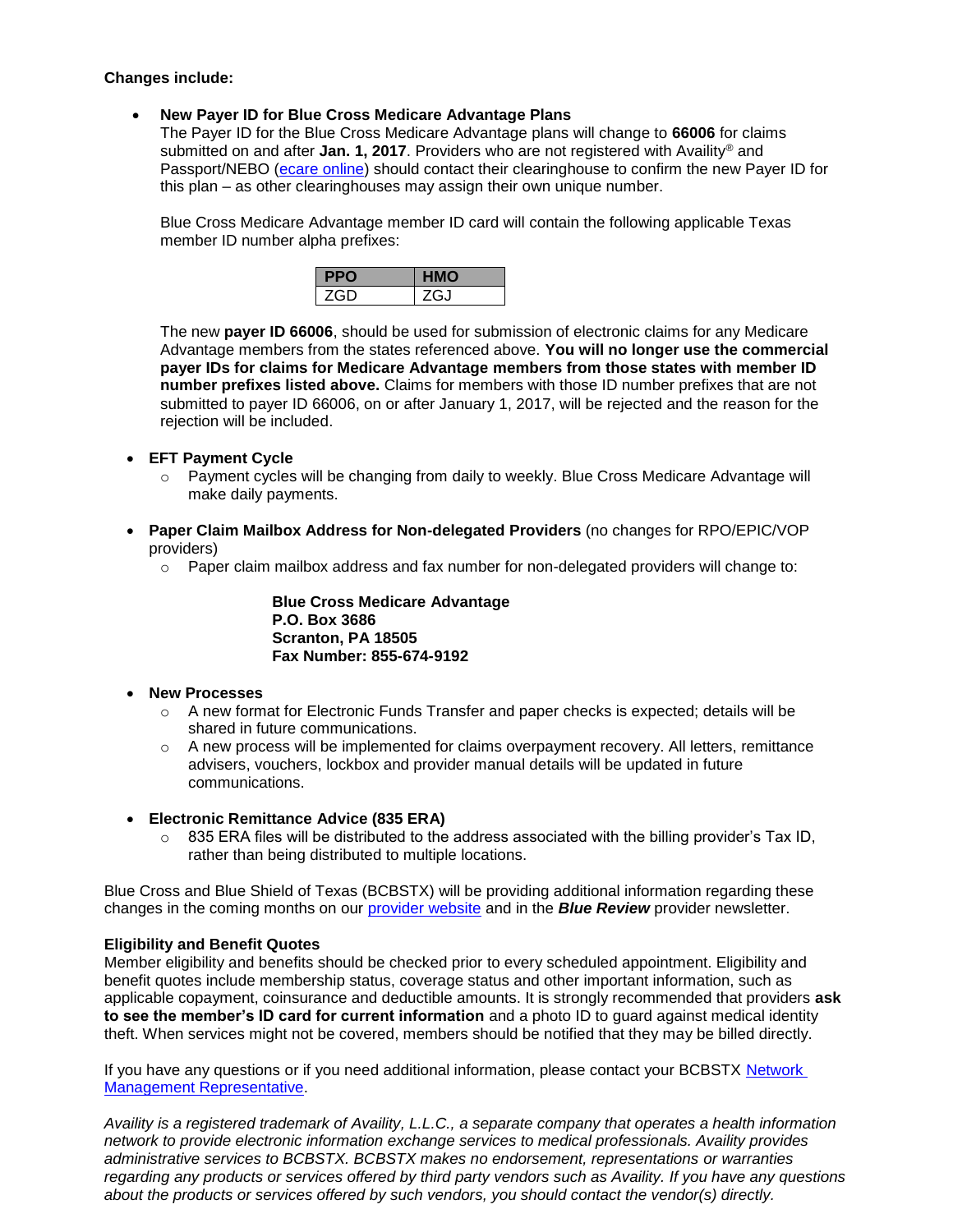### **Changes include:**

## **New Payer ID for Blue Cross Medicare Advantage Plans**

The Payer ID for the Blue Cross Medicare Advantage plans will change to **66006** for claims submitted on and after **Jan. 1, 2017**. Providers who are not registered with Availity® and Passport/NEBO [\(ecare online\)](http://www.bcbstx.com/provider/claims/ndas.html) should contact their clearinghouse to confirm the new Payer ID for this plan – as other clearinghouses may assign their own unique number.

Blue Cross Medicare Advantage member ID card will contain the following applicable Texas member ID number alpha prefixes:

The new **payer ID 66006**, should be used for submission of electronic claims for any Medicare Advantage members from the states referenced above. **You will no longer use the commercial payer IDs for claims for Medicare Advantage members from those states with member ID number prefixes listed above.** Claims for members with those ID number prefixes that are not submitted to payer ID 66006, on or after January 1, 2017, will be rejected and the reason for the rejection will be included.

- **EFT Payment Cycle**
	- o Payment cycles will be changing from daily to weekly. Blue Cross Medicare Advantage will make daily payments.
- **Paper Claim Mailbox Address for Non-delegated Providers** (no changes for RPO/EPIC/VOP providers)
	- $\circ$  Paper claim mailbox address and fax number for non-delegated providers will change to:

**Blue Cross Medicare Advantage P.O. Box 3686 Scranton, PA 18505 Fax Number: 855-674-9192**

### **New Processes**

- $\circ$  A new format for Electronic Funds Transfer and paper checks is expected; details will be shared in future communications.
- $\circ$  A new process will be implemented for claims overpayment recovery. All letters, remittance advisers, vouchers, lockbox and provider manual details will be updated in future communications.
- **Electronic Remittance Advice (835 ERA)** 
	- $\circ$  835 ERA files will be distributed to the address associated with the billing provider's Tax ID, rather than being distributed to multiple locations.

Blue Cross and Blue Shield of Texas (BCBSTX) will be providing additional information regarding these changes in the coming months on our [provider website](http://www.bcbstx.com/provider) and in the *Blue Review* provider newsletter.

# **Eligibility and Benefit Quotes**

Member eligibility and benefits should be checked prior to every scheduled appointment. Eligibility and benefit quotes include membership status, coverage status and other important information, such as applicable copayment, coinsurance and deductible amounts. It is strongly recommended that providers **ask to see the member's ID card for current information** and a photo ID to guard against medical identity theft. When services might not be covered, members should be notified that they may be billed directly.

If you have any questions or if you need additional information, please contact your BCBSTX Network [Management Representative.](http://www.bcbstx.com/provider/contact_us.html)

*Availity is a registered trademark of Availity, L.L.C., a separate company that operates a health information network to provide electronic information exchange services to medical professionals. Availity provides administrative services to BCBSTX. BCBSTX makes no endorsement, representations or warranties regarding any products or services offered by third party vendors such as Availity. If you have any questions about the products or services offered by such vendors, you should contact the vendor(s) directly.*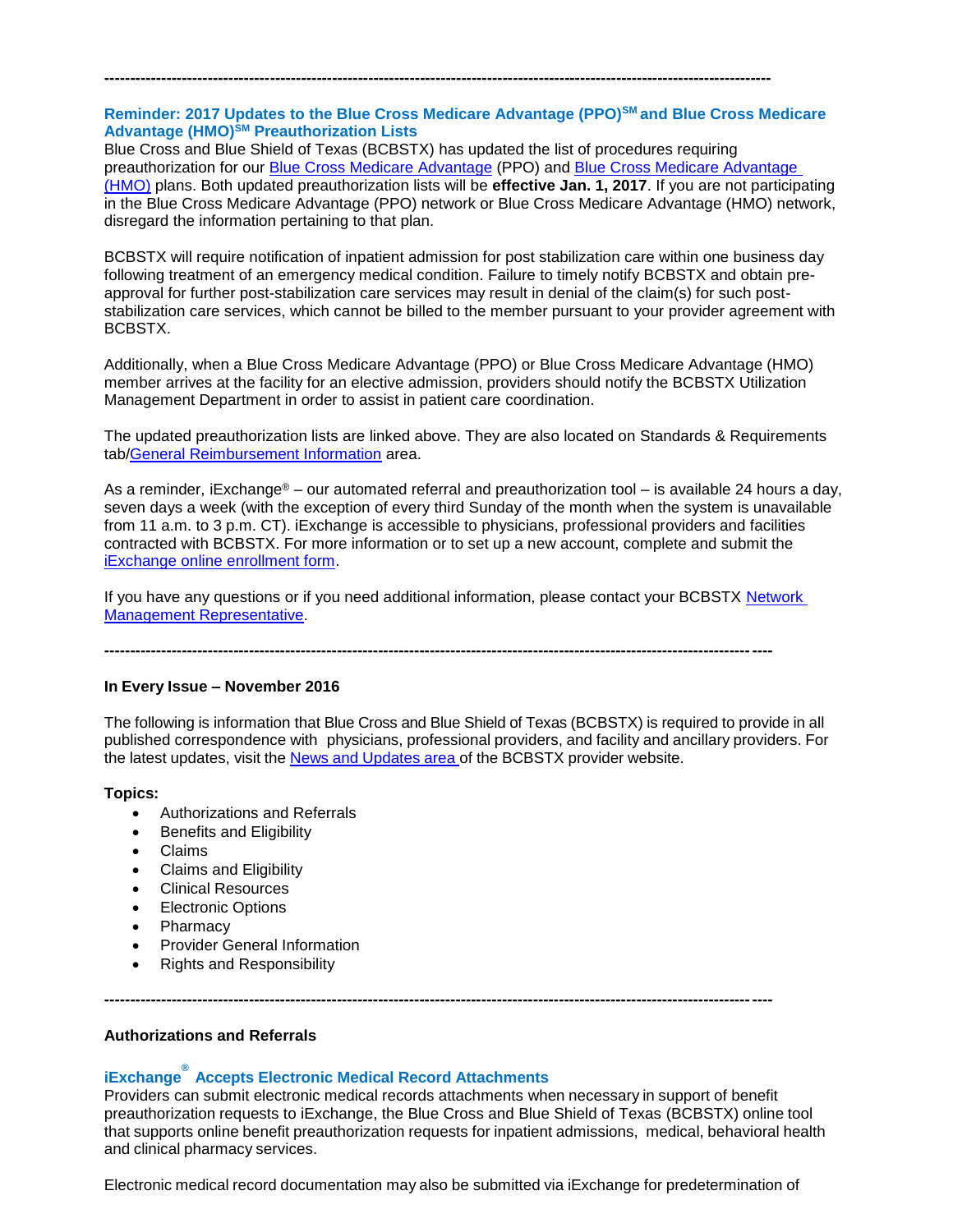# **Reminder: 2017 Updates to the Blue Cross Medicare Advantage (PPO)SM and Blue Cross Medicare Advantage (HMO)SM Preauthorization Lists**

**---------------------------------------------------------------------------------------------------------------------------------**

Blue Cross and Blue Shield of Texas (BCBSTX) has updated the list of procedures requiring preauthorization for our [Blue Cross Medicare Advantage](http://www.bcbstx.com/provider/pdf/bma-preauth-2017.pdf) (PPO) and [Blue Cross Medicare Advantage](http://www.bcbstx.com/provider/pdf/bcma-preauth-2017.pdf)  [\(HMO\)](http://www.bcbstx.com/provider/pdf/bcma-preauth-2017.pdf) plans. Both updated preauthorization lists will be **effective Jan. 1, 2017**. If you are not participating in the Blue Cross Medicare Advantage (PPO) network or Blue Cross Medicare Advantage (HMO) network, disregard the information pertaining to that plan.

BCBSTX will require notification of inpatient admission for post stabilization care within one business day following treatment of an emergency medical condition. Failure to timely notify BCBSTX and obtain preapproval for further post-stabilization care services may result in denial of the claim(s) for such poststabilization care services, which cannot be billed to the member pursuant to your provider agreement with BCBSTX.

Additionally, when a Blue Cross Medicare Advantage (PPO) or Blue Cross Medicare Advantage (HMO) member arrives at the facility for an elective admission, providers should notify the BCBSTX Utilization Management Department in order to assist in patient care coordination.

The updated preauthorization lists are linked above. They are also located on Standards & Requirements tab[/General Reimbursement Information](http://www.bcbstx.com/provider/gri/index.html) area.

As a reminder, iExchange® – our automated referral and preauthorization tool – is available 24 hours a day, seven days a week (with the exception of every third Sunday of the month when the system is unavailable from 11 a.m. to 3 p.m. CT). iExchange is accessible to physicians, professional providers and facilities contracted with BCBSTX. For more information or to set up a new account, complete and submit the [iExchange online enrollment form.](https://www.bcbstx.com/provider/tools/iexchange_index.html)

If you have any questions or if you need additional information, please contact your BCBSTX Network [Management Representative.](http://www.bcbstx.com/provider/contact_us.html)

**---------------------------------------------------------------------------------------------------------------------------------**

### **In Every Issue – November 2016**

The following is information that Blue Cross and Blue Shield of Texas (BCBSTX) is required to provide in all published correspondence with physicians, professional providers, and facility and ancillary providers. For the latest updates, visit the News and [Updates](http://www.bcbstx.com/provider/news/index.html) area of the BCBSTX provider website.

### **Topics:**

- Authorizations and Referrals
- Benefits and Eligibility
- Claims
- Claims and Eligibility
- Clinical Resources
- Electronic Options
- Pharmacy
- Provider General Information
- Rights and Responsibility

# **Authorizations and Referrals**

# **iExchange ® Accepts Electronic Medical Record Attachments**

Providers can submit electronic medical records attachments when necessary in support of benefit preauthorization requests to iExchange, the Blue Cross and Blue Shield of Texas (BCBSTX) online tool that supports online benefit preauthorization requests for inpatient admissions, medical, behavioral health and clinical pharmacy services.

Electronic medical record documentation may also be submitted via iExchange for predetermination of

**---------------------------------------------------------------------------------------------------------------------------------**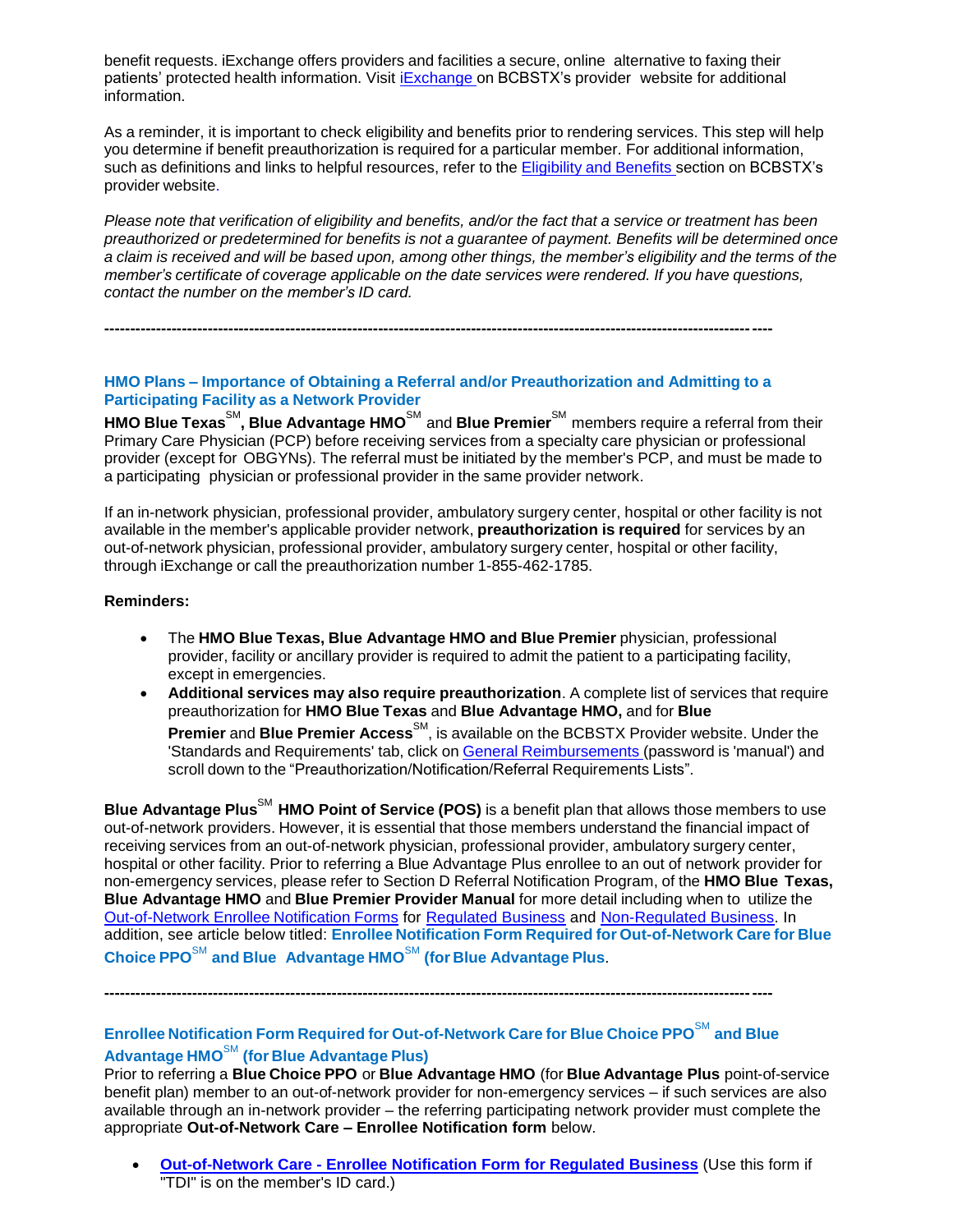benefit requests. iExchange offers providers and facilities a secure, online alternative to faxing their patients' protected health information. Visit [iExchange](http://www.bcbstx.com/provider/tools/iexchange_index.html) on BCBSTX's provider website for additional information.

As a reminder, it is important to check eligibility and benefits prior to rendering services. This step will help you determine if benefit preauthorization is required for a particular member. For additional information, such as definitions and links to helpful resources, refer to the [Eligibility](http://www.bcbstx.com/provider/claims/eligibility_and_benefits.html) and Benefits secti[on](http://www.bcbstx.com/provider) on BCBSTX's provider website.

Please note that verification of eligibility and benefits, and/or the fact that a service or treatment has been *preauthorized or predetermined for benefits is not a guarantee of payment. Benefits will be determined once* a claim is received and will be based upon, among other things, the member's eligibility and the terms of the *member's certificate of coverage applicable on the date services were rendered. If you have questions, contact the number on the member's ID card.*

**---------------------------------------------------------------------------------------------------------------------------------**

# **HMO Plans – Importance of Obtaining a Referral and/or Preauthorization and Admitting to a Participating Facility as a Network Provider**

**HMO Blue Texas**SM **, Blue Advantage HMO**SM and **Blue Premier**SM members require a referral from their Primary Care Physician (PCP) before receiving services from a specialty care physician or professional provider (except for OBGYNs). The referral must be initiated by the member's PCP, and must be made to a participating physician or professional provider in the same provider network.

If an in-network physician, professional provider, ambulatory surgery center, hospital or other facility is not available in the member's applicable provider network, **preauthorization is required** for services by an out-of-network physician, professional provider, ambulatory surgery center, hospital or other facility, through iExchange or call the preauthorization number 1-855-462-1785.

### **Reminders:**

- The **HMO Blue Texas, Blue Advantage HMO and Blue Premier** physician, professional provider, facility or ancillary provider is required to admit the patient to a participating facility, except in emergencies.
- **Additional services may also require preauthorization**. A complete list of services that require preauthorization for **HMO Blue Texas** and **Blue Advantage HMO,** and for **Blue Premier** and Blue Premier Access<sup>SM</sup>, is available on the BCBSTX Provider website. Under the 'Standards and Requirements' tab, click on General [Reimbursements](https://www.bcbstx.com/provider/gri/gri.html) (password is 'manual') and scroll down to the "Preauthorization/Notification/Referral Requirements Lists".

**Blue Advantage Plus**SM **HMO Point of Service (POS)** is a benefit plan that allows those members to use out-of-network providers. However, it is essential that those members understand the financial impact of receiving services from an out-of-network physician, professional provider, ambulatory surgery center, hospital or other facility. Prior to referring a Blue Advantage Plus enrollee to an out of network provider for non-emergency services, please refer to Section D Referral Notification Program, of the **HMO Blue Texas, Blue Advantage HMO** and **Blue Premier Provider Manual** for more detail including when to utilize the Out-of-Network Enrollee Notification Forms for [Regulated Business](http://www.bcbstx.com/provider/pdf/out-of-network-care-enrollee-notification-form.pdf) and [Non-Regulated Business.](http://www.bcbstx.com/provider/pdf/out-of-network-care-enrollee-notification-form-nr.pdf) In addition, see article below titled: **Enrollee Notification Form Required for Out-of-Network Care for Blue Choice PPO**SM **and Blue Advantage HMO**SM **(for Blue Advantage Plus**.

**---------------------------------------------------------------------------------------------------------------------------------**

# **Enrollee Notification Form Required for Out-of-Network Care for Blue Choice PPO**SM **and Blue Advantage HMO**SM **(for Blue Advantage Plus)**

Prior to referring a **Blue Choice PPO** or **Blue Advantage HMO** (for **Blue Advantage Plus** point-of-service benefit plan) member to an out-of-network provider for non-emergency services – if such services are also available through an in-network provider – the referring participating network provider must complete the appropriate **Out-of-Network Care – Enrollee Notification form** below.

 **Out-of-Network Care - [Enrollee Notification Form for Regulated Business](http://www.bcbstx.com/provider/pdf/out-of-network-care-enrollee-notification-form.pdf)** (Use this form if "TDI" is on the member's ID card.)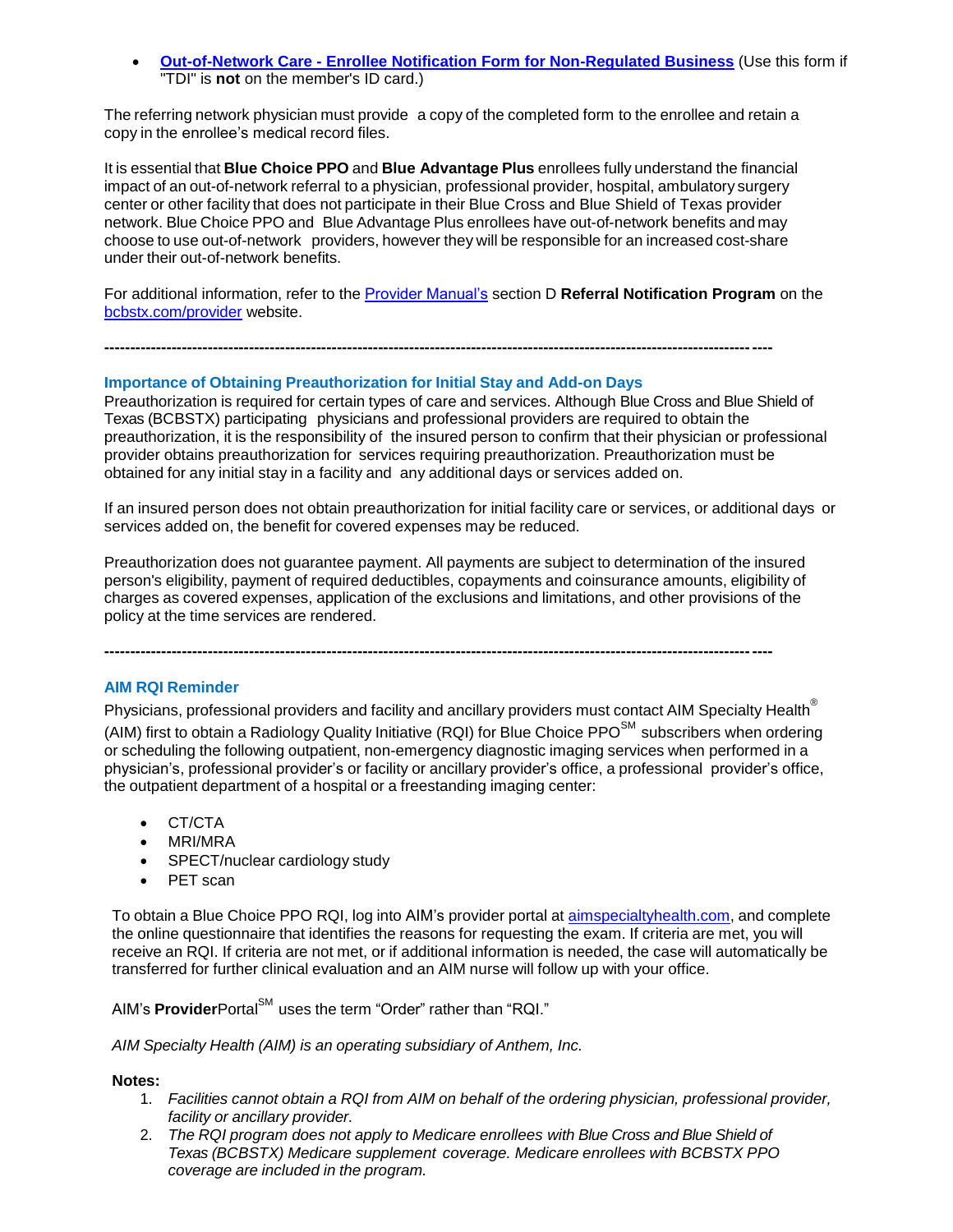**Out-of-Network Care - [Enrollee Notification Form for Non-Regulated Business](http://www.bcbstx.com/provider/pdf/out-of-network-care-enrollee-notification-form-nr.pdf)** (Use this form if "TDI" is **not** on the member's ID card.)

The referring network physician must provide a copy of the completed form to the enrollee and retain a copy in the enrollee's medical record files.

It is essential that **Blue Choice PPO** and **Blue Advantage Plus** enrollees fully understand the financial impact of an out-of-network referral to a physician, professional provider, hospital, ambulatory surgery center or other facility that does not participate in their Blue Cross and Blue Shield of Texas provider network. Blue Choice PPO and Blue Advantage Plus enrollees have out-of-network benefits and may choose to use out-of-network providers, however they will be responsible for an increased cost-share under their out-of-network benefits.

For additional information, refer to the [Provider Manual's](http://www.bcbstx.com/provider/gri/index.html) section D **Referral Notification Program** on the [bcbstx.com/provider](http://www.bcbstx.com/provider/index.html) website.

**---------------------------------------------------------------------------------------------------------------------------------**

### **Importance of Obtaining Preauthorization for Initial Stay and Add-on Days**

Preauthorization is required for certain types of care and services. Although Blue Cross and Blue Shield of Texas (BCBSTX) participating physicians and professional providers are required to obtain the preauthorization, it is the responsibility of the insured person to confirm that their physician or professional provider obtains preauthorization for services requiring preauthorization. Preauthorization must be obtained for any initial stay in a facility and any additional days or services added on.

If an insured person does not obtain preauthorization for initial facility care or services, or additional days or services added on, the benefit for covered expenses may be reduced.

Preauthorization does not guarantee payment. All payments are subject to determination of the insured person's eligibility, payment of required deductibles, copayments and coinsurance amounts, eligibility of charges as covered expenses, application of the exclusions and limitations, and other provisions of the policy at the time services are rendered.

**---------------------------------------------------------------------------------------------------------------------------------**

### **AIM RQI Reminder**

Physicians, professional providers and facility and ancillary providers must contact AIM Specialty Health<sup>®</sup>

(AIM) first to obtain a Radiology Quality Initiative (RQI) for Blue Choice  $\text{PPO}^{\text{SM}}$  subscribers when ordering or scheduling the following outpatient, non-emergency diagnostic imaging services when performed in a physician's, professional provider's or facility or ancillary provider's office, a professional provider's office, the outpatient department of a hospital or a freestanding imaging center:

- CT/CTA
- MRI/MRA
- SPECT/nuclear cardiology study
- PET scan

To obtain a Blue Choice PPO RQI, log into AIM's provider portal at [aimspecialtyhealth.com,](http://www.aimspecialtyhealth.com/) and complete the online questionnaire that identifies the reasons for requesting the exam. If criteria are met, you will receive an RQI. If criteria are not met, or if additional information is needed, the case will automatically be transferred for further clinical evaluation and an AIM nurse will follow up with your office.

AIM's ProviderPortal<sup>SM</sup> uses the term "Order" rather than "RQI."

*AIM Specialty Health (AIM) is an operating subsidiary of Anthem, Inc.*

#### **Notes:**

- 1. *Facilities cannot obtain a RQI from AIM on behalf of the ordering physician, professional provider, facility or ancillary provider.*
- 2. *The RQI program does not apply to Medicare enrollees with Blue Cross and Blue Shield of Texas (BCBSTX) Medicare supplement coverage. Medicare enrollees with BCBSTX PPO coverage are included in the program.*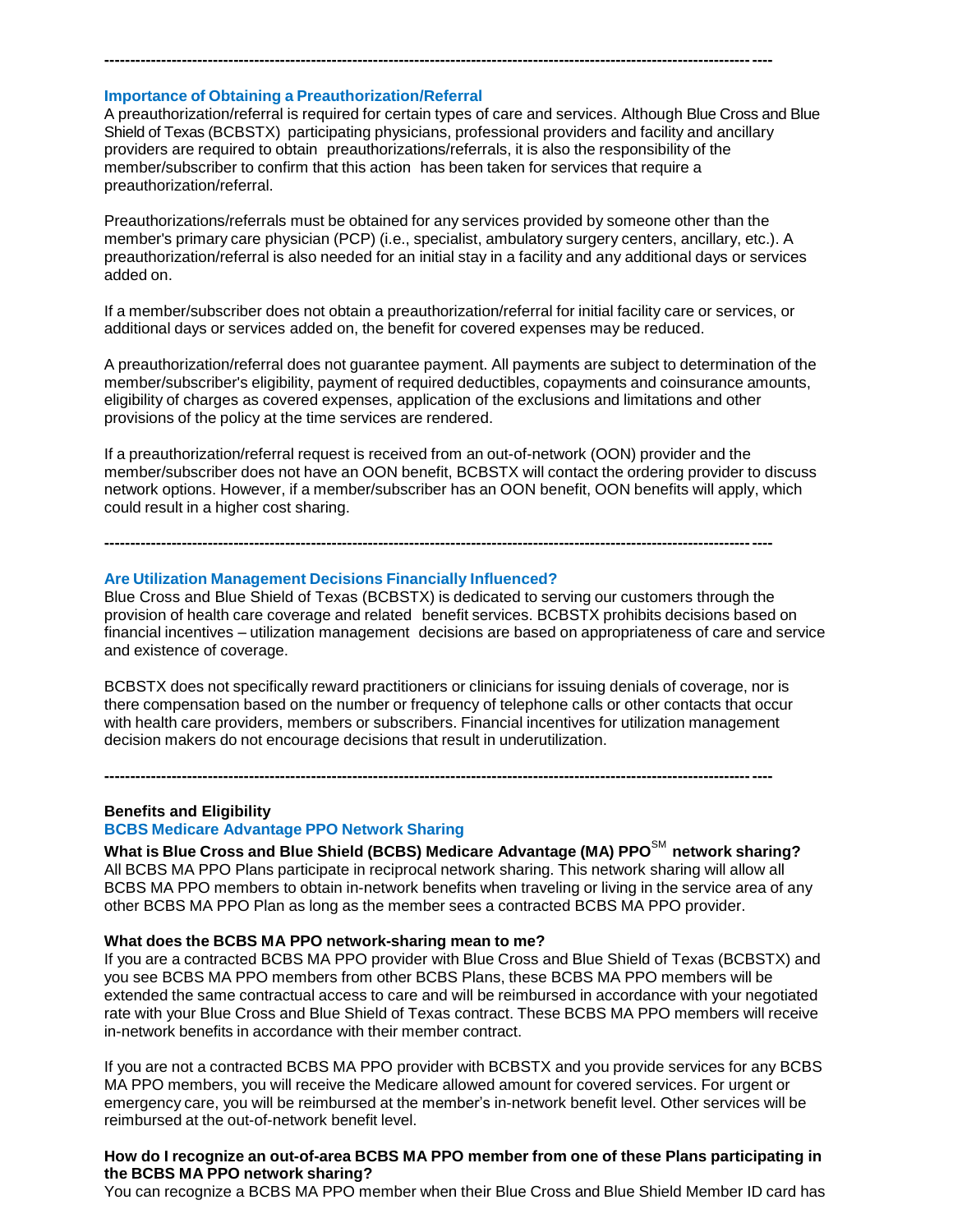# **Importance of Obtaining a Preauthorization/Referral**

A preauthorization/referral is required for certain types of care and services. Although Blue Cross and Blue Shield of Texas (BCBSTX) participating physicians, professional providers and facility and ancillary providers are required to obtain preauthorizations/referrals, it is also the responsibility of the member/subscriber to confirm that this action has been taken for services that require a preauthorization/referral.

**---------------------------------------------------------------------------------------------------------------------------------**

Preauthorizations/referrals must be obtained for any services provided by someone other than the member's primary care physician (PCP) (i.e., specialist, ambulatory surgery centers, ancillary, etc.). A preauthorization/referral is also needed for an initial stay in a facility and any additional days or services added on.

If a member/subscriber does not obtain a preauthorization/referral for initial facility care or services, or additional days or services added on, the benefit for covered expenses may be reduced.

A preauthorization/referral does not guarantee payment. All payments are subject to determination of the member/subscriber's eligibility, payment of required deductibles, copayments and coinsurance amounts, eligibility of charges as covered expenses, application of the exclusions and limitations and other provisions of the policy at the time services are rendered.

If a preauthorization/referral request is received from an out-of-network (OON) provider and the member/subscriber does not have an OON benefit, BCBSTX will contact the ordering provider to discuss network options. However, if a member/subscriber has an OON benefit, OON benefits will apply, which could result in a higher cost sharing.

**---------------------------------------------------------------------------------------------------------------------------------**

#### **Are Utilization Management Decisions Financially Influenced?**

Blue Cross and Blue Shield of Texas (BCBSTX) is dedicated to serving our customers through the provision of health care coverage and related benefit services. BCBSTX prohibits decisions based on financial incentives – utilization management decisions are based on appropriateness of care and service and existence of coverage.

BCBSTX does not specifically reward practitioners or clinicians for issuing denials of coverage, nor is there compensation based on the number or frequency of telephone calls or other contacts that occur with health care providers, members or subscribers. Financial incentives for utilization management decision makers do not encourage decisions that result in underutilization.

**---------------------------------------------------------------------------------------------------------------------------------**

**Benefits and Eligibility**

### **BCBS Medicare Advantage PPO Network Sharing**

**What is Blue Cross and Blue Shield (BCBS) Medicare Advantage (MA) PPO**SM **network sharing?** All BCBS MA PPO Plans participate in reciprocal network sharing. This network sharing will allow all BCBS MA PPO members to obtain in-network benefits when traveling or living in the service area of any other BCBS MA PPO Plan as long as the member sees a contracted BCBS MA PPO provider.

#### **What does the BCBS MA PPO network-sharing mean to me?**

If you are a contracted BCBS MA PPO provider with Blue Cross and Blue Shield of Texas (BCBSTX) and you see BCBS MA PPO members from other BCBS Plans, these BCBS MA PPO members will be extended the same contractual access to care and will be reimbursed in accordance with your negotiated rate with your Blue Cross and Blue Shield of Texas contract. These BCBS MA PPO members will receive in-network benefits in accordance with their member contract.

If you are not a contracted BCBS MA PPO provider with BCBSTX and you provide services for any BCBS MA PPO members, you will receive the Medicare allowed amount for covered services. For urgent or emergency care, you will be reimbursed at the member's in-network benefit level. Other services will be reimbursed at the out-of-network benefit level.

# **How do I recognize an out-of-area BCBS MA PPO member from one of these Plans participating in the BCBS MA PPO network sharing?**

You can recognize a BCBS MA PPO member when their Blue Cross and Blue Shield Member ID card has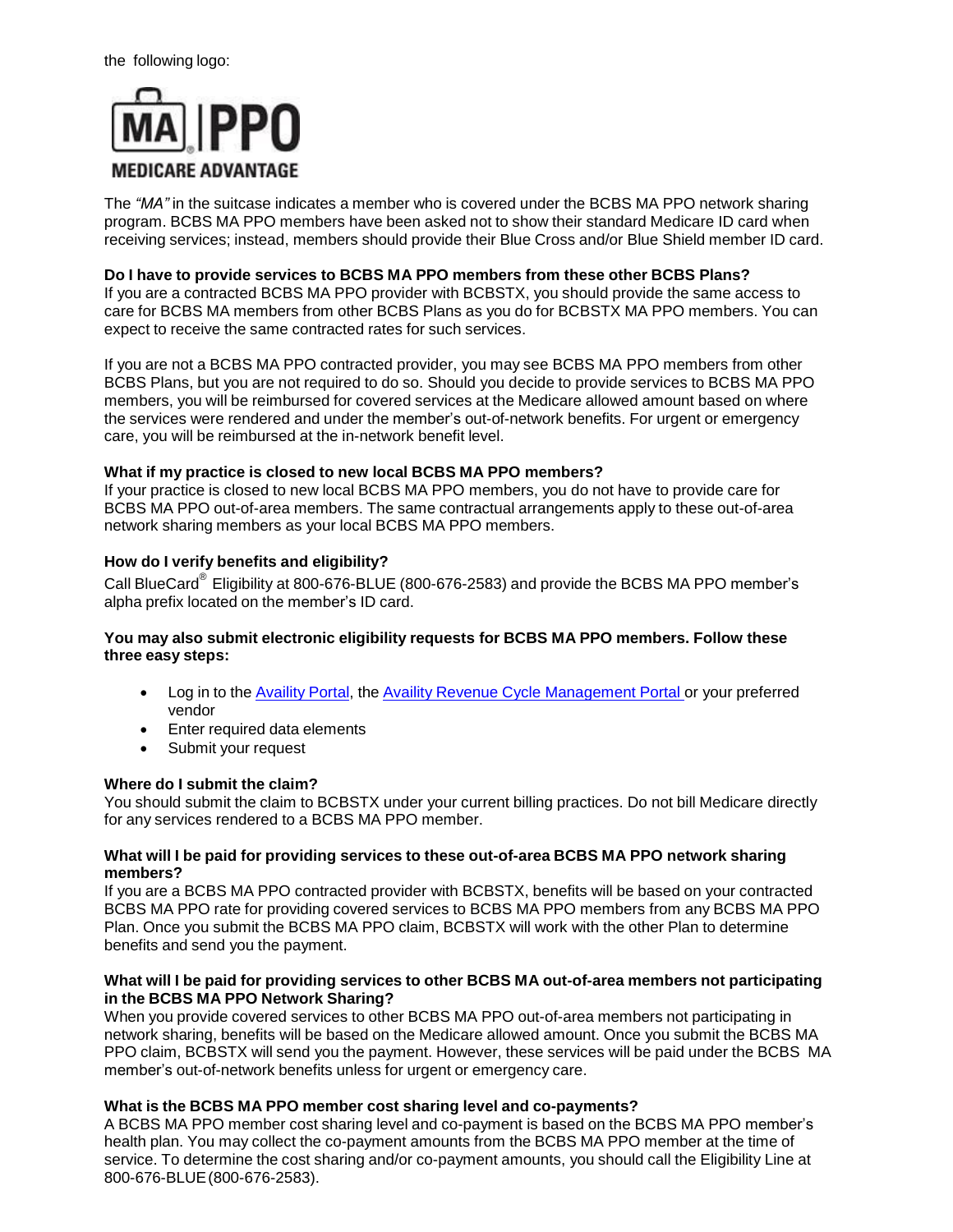

The *"MA"* in the suitcase indicates a member who is covered under the BCBS MA PPO network sharing program. BCBS MA PPO members have been asked not to show their standard Medicare ID card when receiving services; instead, members should provide their Blue Cross and/or Blue Shield member ID card.

### **Do I have to provide services to BCBS MA PPO members from these other BCBS Plans?**

If you are a contracted BCBS MA PPO provider with BCBSTX, you should provide the same access to care for BCBS MA members from other BCBS Plans as you do for BCBSTX MA PPO members. You can expect to receive the same contracted rates for such services.

If you are not a BCBS MA PPO contracted provider, you may see BCBS MA PPO members from other BCBS Plans, but you are not required to do so. Should you decide to provide services to BCBS MA PPO members, you will be reimbursed for covered services at the Medicare allowed amount based on where the services were rendered and under the member's out-of-network benefits. For urgent or emergency care, you will be reimbursed at the in-network benefit level.

# **What if my practice is closed to new local BCBS MA PPO members?**

If your practice is closed to new local BCBS MA PPO members, you do not have to provide care for BCBS MA PPO out-of-area members. The same contractual arrangements apply to these out-of-area network sharing members as your local BCBS MA PPO members.

# **How do I verify benefits and eligibility?**

Call BlueCard<sup>®</sup> Eligibility at 800-676-BLUE (800-676-2583) and provide the BCBS MA PPO member's alpha prefix located on the member's ID card.

### **You may also submit electronic eligibility requests for BCBS MA PPO members. Follow these three easy steps:**

- Log in to the [Availity](https://claims.realmed.com/) Portal, the Availity Revenue Cycle [Management](https://claims.realmed.com/MainFrameset.htm) Portal or your preferred vendor
- Enter required data elements
- Submit your request

# **Where do I submit the claim?**

You should submit the claim to BCBSTX under your current billing practices. Do not bill Medicare directly for any services rendered to a BCBS MA PPO member.

### **What will I be paid for providing services to these out-of-area BCBS MA PPO network sharing members?**

If you are a BCBS MA PPO contracted provider with BCBSTX, benefits will be based on your contracted BCBS MA PPO rate for providing covered services to BCBS MA PPO members from any BCBS MA PPO Plan. Once you submit the BCBS MA PPO claim, BCBSTX will work with the other Plan to determine benefits and send you the payment.

### **What will I be paid for providing services to other BCBS MA out-of-area members not participating in the BCBS MA PPO Network Sharing?**

When you provide covered services to other BCBS MA PPO out-of-area members not participating in network sharing, benefits will be based on the Medicare allowed amount. Once you submit the BCBS MA PPO claim, BCBSTX will send you the payment. However, these services will be paid under the BCBS MA member's out-of-network benefits unless for urgent or emergency care.

# **What is the BCBS MA PPO member cost sharing level and co-payments?**

A BCBS MA PPO member cost sharing level and co-payment is based on the BCBS MA PPO member's health plan. You may collect the co-payment amounts from the BCBS MA PPO member at the time of service. To determine the cost sharing and/or co-payment amounts, you should call the Eligibility Line at 800-676-BLUE(800-676-2583).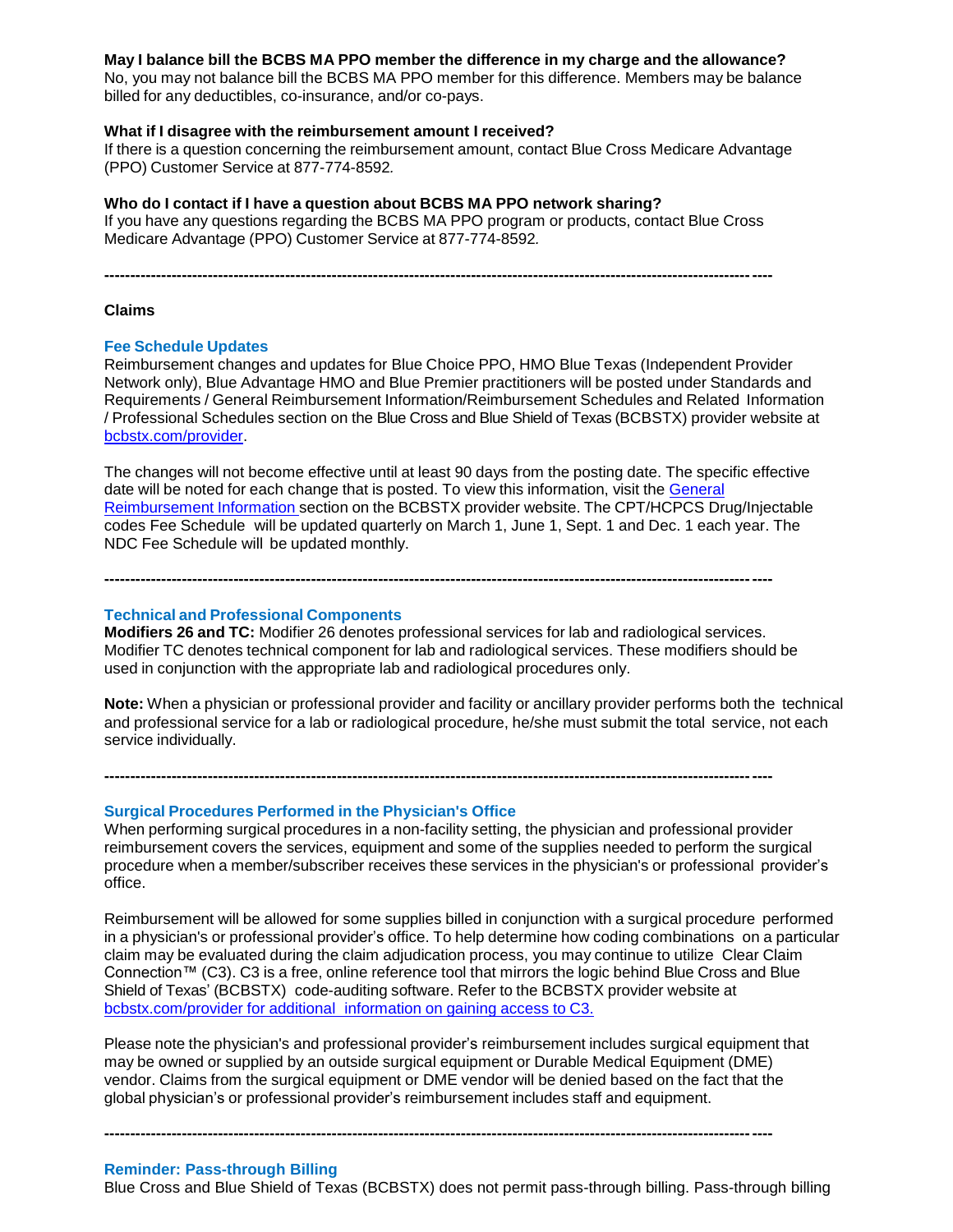### **May I balance bill the BCBS MA PPO member the difference in my charge and the allowance?**

No, you may not balance bill the BCBS MA PPO member for this difference. Members may be balance billed for any deductibles, co-insurance, and/or co-pays.

#### **What if I disagree with the reimbursement amount I received?**

If there is a question concerning the reimbursement amount, contact Blue Cross Medicare Advantage (PPO) Customer Service at 877-774-8592*.*

#### **Who do I contact if I have a question about BCBS MA PPO network sharing?**

If you have any questions regarding the BCBS MA PPO program or products, contact Blue Cross Medicare Advantage (PPO) Customer Service at 877-774-8592*.*

**---------------------------------------------------------------------------------------------------------------------------------**

#### **Claims**

#### **Fee Schedule Updates**

Reimbursement changes and updates for Blue Choice PPO, HMO Blue Texas (Independent Provider Network only), Blue Advantage HMO and Blue Premier practitioners will be posted under Standards and Requirements / General Reimbursement Information/Reimbursement Schedules and Related Information / Professional Schedules section on the Blue Cross and Blue [Shield of Texas \(BCBSTX\)](https://www.bcbstx.com/provider/) provider website at bcbstx.com/provider.

The changes will not become effective until at least 90 days from the posting date. The specific effective date will be noted for each change that is posted. To view this information, visit the General Reimbursement Information section on the BCBSTX provider website. The [CPT/HCPCS Dr](https://www.bcbstx.com/provider/gri/index.html)ug/Injectable codes Fee Schedule will be updated quarterly on March 1, June 1, Sept. 1 and Dec. 1 each year. The NDC Fee Schedule will be updated monthly.

**---------------------------------------------------------------------------------------------------------------------------------**

### **Technical and Professional Components**

**Modifiers 26 and TC:** Modifier 26 denotes professional services for lab and radiological services. Modifier TC denotes technical component for lab and radiological services. These modifiers should be used in conjunction with the appropriate lab and radiological procedures only.

**---------------------------------------------------------------------------------------------------------------------------------**

**Note:** When a physician or professional provider and facility or ancillary provider performs both the technical and professional service for a lab or radiological procedure, he/she must submit the total service, not each service individually.

**Surgical Procedures Performed in the Physician's Office**

When performing surgical procedures in a non-facility setting, the physician and professional provider reimbursement covers the services, equipment and some of the supplies needed to perform the surgical procedure when a member/subscriber receives these services in the physician's or professional provider's office.

Reimbursement will be allowed for some supplies billed in conjunction with a surgical procedure performed in a physician's or professional provider's office. To help determine how coding combinations on a particular claim may be evaluated during the claim adjudication process, you may continue to utilize Clear Claim Connection™ (C3). C3 is a free, online reference tool that mirrors the logic behind Blue Cross and Blue Shield of Texas' (BCBSTX) code-auditing software. Refer to the BCBSTX provider website at [bcbstx.com/provider](https://www.bcbstx.com/provider/tools/clear_claim_connection.html) for additional information on gaining access to C3.

Please note the physician's and professional provider's reimbursement includes surgical equipment that may be owned or supplied by an outside surgical equipment or Durable Medical Equipment (DME) vendor. Claims from the surgical equipment or DME vendor will be denied based on the fact that the global physician's or professional provider's reimbursement includes staff and equipment.

**---------------------------------------------------------------------------------------------------------------------------------**

#### **Reminder: Pass-through Billing**

Blue Cross and Blue Shield of Texas (BCBSTX) does not permit pass-through billing. Pass-through billing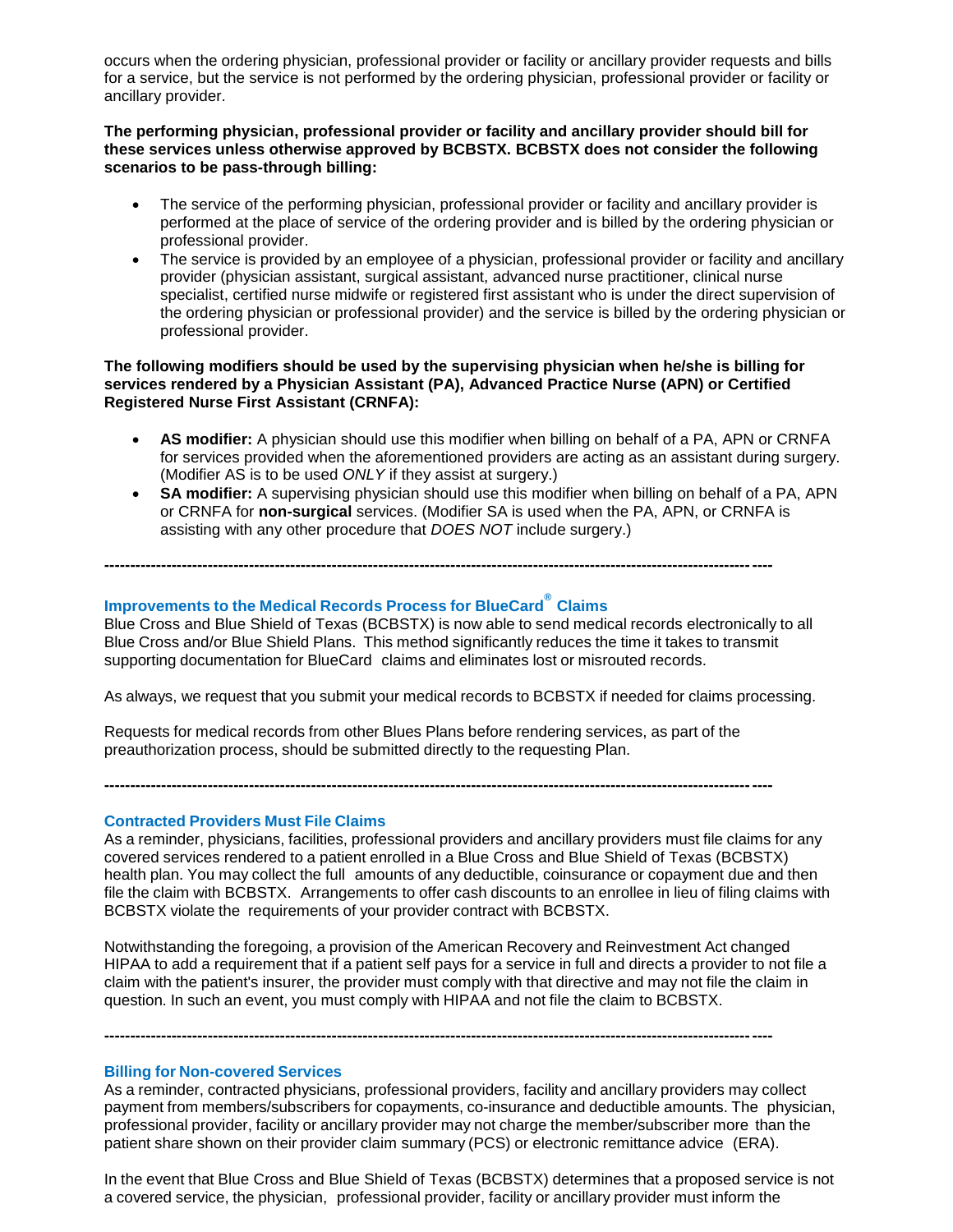occurs when the ordering physician, professional provider or facility or ancillary provider requests and bills for a service, but the service is not performed by the ordering physician, professional provider or facility or ancillary provider.

### **The performing physician, professional provider or facility and ancillary provider should bill for these services unless otherwise approved by BCBSTX. BCBSTX does not consider the following scenarios to be pass-through billing:**

- The service of the performing physician, professional provider or facility and ancillary provider is performed at the place of service of the ordering provider and is billed by the ordering physician or professional provider.
- The service is provided by an employee of a physician, professional provider or facility and ancillary provider (physician assistant, surgical assistant, advanced nurse practitioner, clinical nurse specialist, certified nurse midwife or registered first assistant who is under the direct supervision of the ordering physician or professional provider) and the service is billed by the ordering physician or professional provider.

### **The following modifiers should be used by the supervising physician when he/she is billing for services rendered by a Physician Assistant (PA), Advanced Practice Nurse (APN) or Certified Registered Nurse First Assistant (CRNFA):**

- **AS modifier:** A physician should use this modifier when billing on behalf of a PA, APN or CRNFA for services provided when the aforementioned providers are acting as an assistant during surgery. (Modifier AS is to be used *ONLY* if they assist at surgery.)
- **SA modifier:** A supervising physician should use this modifier when billing on behalf of a PA, APN or CRNFA for **non-surgical** services. (Modifier SA is used when the PA, APN, or CRNFA is assisting with any other procedure that *DOES NOT* include surgery.)

**---------------------------------------------------------------------------------------------------------------------------------**

# **Improvements to the Medical Records Process for BlueCard® Claims**

Blue Cross and Blue Shield of Texas (BCBSTX) is now able to send medical records electronically to all Blue Cross and/or Blue Shield Plans. This method significantly reduces the time it takes to transmit supporting documentation for BlueCard claims and eliminates lost or misrouted records.

As always, we request that you submit your medical records to BCBSTX if needed for claims processing.

Requests for medical records from other Blues Plans before rendering services, as part of the preauthorization process, should be submitted directly to the requesting Plan.

**---------------------------------------------------------------------------------------------------------------------------------**

#### **Contracted Providers Must File Claims**

As a reminder, physicians, facilities, professional providers and ancillary providers must file claims for any covered services rendered to a patient enrolled in a Blue Cross and Blue Shield of Texas (BCBSTX) health plan. You may collect the full amounts of any deductible, coinsurance or copayment due and then file the claim with BCBSTX. Arrangements to offer cash discounts to an enrollee in lieu of filing claims with BCBSTX violate the requirements of your provider contract with BCBSTX.

Notwithstanding the foregoing, a provision of the American Recovery and Reinvestment Act changed HIPAA to add a requirement that if a patient self pays for a service in full and directs a provider to not file a claim with the patient's insurer, the provider must comply with that directive and may not file the claim in question. In such an event, you must comply with HIPAA and not file the claim to BCBSTX.

**---------------------------------------------------------------------------------------------------------------------------------**

### **Billing for Non-covered Services**

As a reminder, contracted physicians, professional providers, facility and ancillary providers may collect payment from members/subscribers for copayments, co-insurance and deductible amounts. The physician, professional provider, facility or ancillary provider may not charge the member/subscriber more than the patient share shown on their provider claim summary (PCS) or electronic remittance advice (ERA).

In the event that Blue Cross and Blue Shield of Texas (BCBSTX) determines that a proposed service is not a covered service, the physician, professional provider, facility or ancillary provider must inform the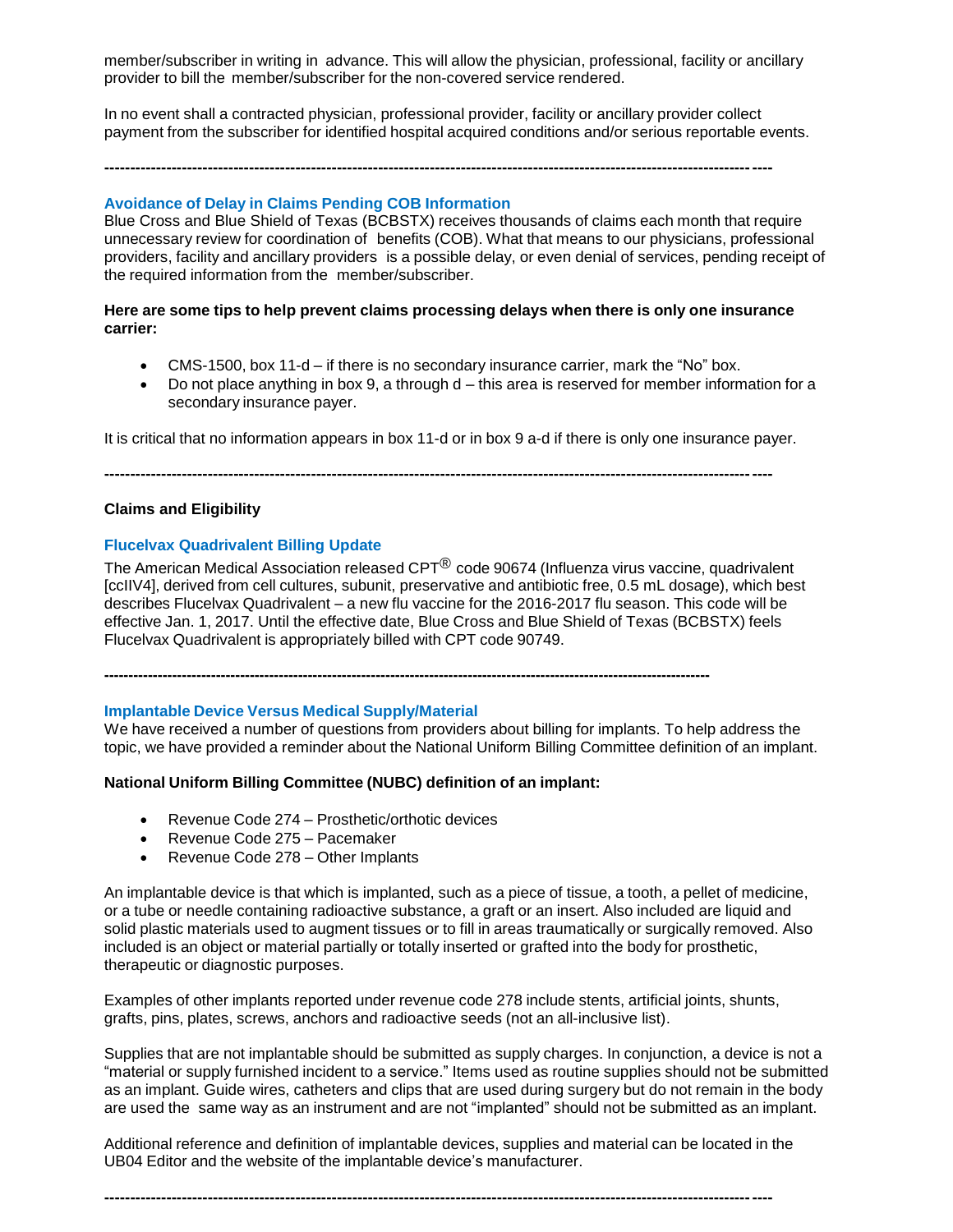member/subscriber in writing in advance. This will allow the physician, professional, facility or ancillary provider to bill the member/subscriber for the non-covered service rendered.

In no event shall a contracted physician, professional provider, facility or ancillary provider collect payment from the subscriber for identified hospital acquired conditions and/or serious reportable events.

**---------------------------------------------------------------------------------------------------------------------------------**

### **Avoidance of Delay in Claims Pending COB Information**

Blue Cross and Blue Shield of Texas (BCBSTX) receives thousands of claims each month that require unnecessary review for coordination of benefits (COB). What that means to our physicians, professional providers, facility and ancillary providers is a possible delay, or even denial of services, pending receipt of the required information from the member/subscriber.

### **Here are some tips to help prevent claims processing delays when there is only one insurance carrier:**

- CMS-1500, box 11-d if there is no secondary insurance carrier, mark the "No" box.
- Do not place anything in box 9, a through d this area is reserved for member information for a secondary insurance payer.

It is critical that no information appears in box 11-d or in box 9 a-d if there is only one insurance payer.

**---------------------------------------------------------------------------------------------------------------------------------**

### **Claims and Eligibility**

### **Flucelvax Quadrivalent Billing Update**

The American Medical Association released CPT<sup>®</sup> code 90674 (Influenza virus vaccine, quadrivalent [ccIIV4], derived from cell cultures, subunit, preservative and antibiotic free, 0.5 mL dosage), which best describes Flucelvax Quadrivalent – a new flu vaccine for the 2016-2017 flu season. This code will be effective Jan. 1, 2017. Until the effective date, Blue Cross and Blue Shield of Texas (BCBSTX) feels Flucelvax Quadrivalent is appropriately billed with CPT code 90749.

**-----------------------------------------------------------------------------------------------------------------------------**

### **Implantable Device Versus Medical Supply/Material**

We have received a number of questions from providers about billing for implants. To help address the topic, we have provided a reminder about the National Uniform Billing Committee definition of an implant.

### **National Uniform Billing Committee (NUBC) definition of an implant:**

- Revenue Code 274 Prosthetic/orthotic devices
- Revenue Code 275 Pacemaker
- Revenue Code 278 Other Implants

An implantable device is that which is implanted, such as a piece of tissue, a tooth, a pellet of medicine, or a tube or needle containing radioactive substance, a graft or an insert. Also included are liquid and solid plastic materials used to augment tissues or to fill in areas traumatically or surgically removed. Also included is an object or material partially or totally inserted or grafted into the body for prosthetic, therapeutic or diagnostic purposes.

Examples of other implants reported under revenue code 278 include stents, artificial joints, shunts, grafts, pins, plates, screws, anchors and radioactive seeds (not an all-inclusive list).

Supplies that are not implantable should be submitted as supply charges. In conjunction, a device is not a "material or supply furnished incident to a service." Items used as routine supplies should not be submitted as an implant. Guide wires, catheters and clips that are used during surgery but do not remain in the body are used the same way as an instrument and are not "implanted" should not be submitted as an implant.

Additional reference and definition of implantable devices, supplies and material can be located in the UB04 Editor and the website of the implantable device's manufacturer.

**---------------------------------------------------------------------------------------------------------------------------------**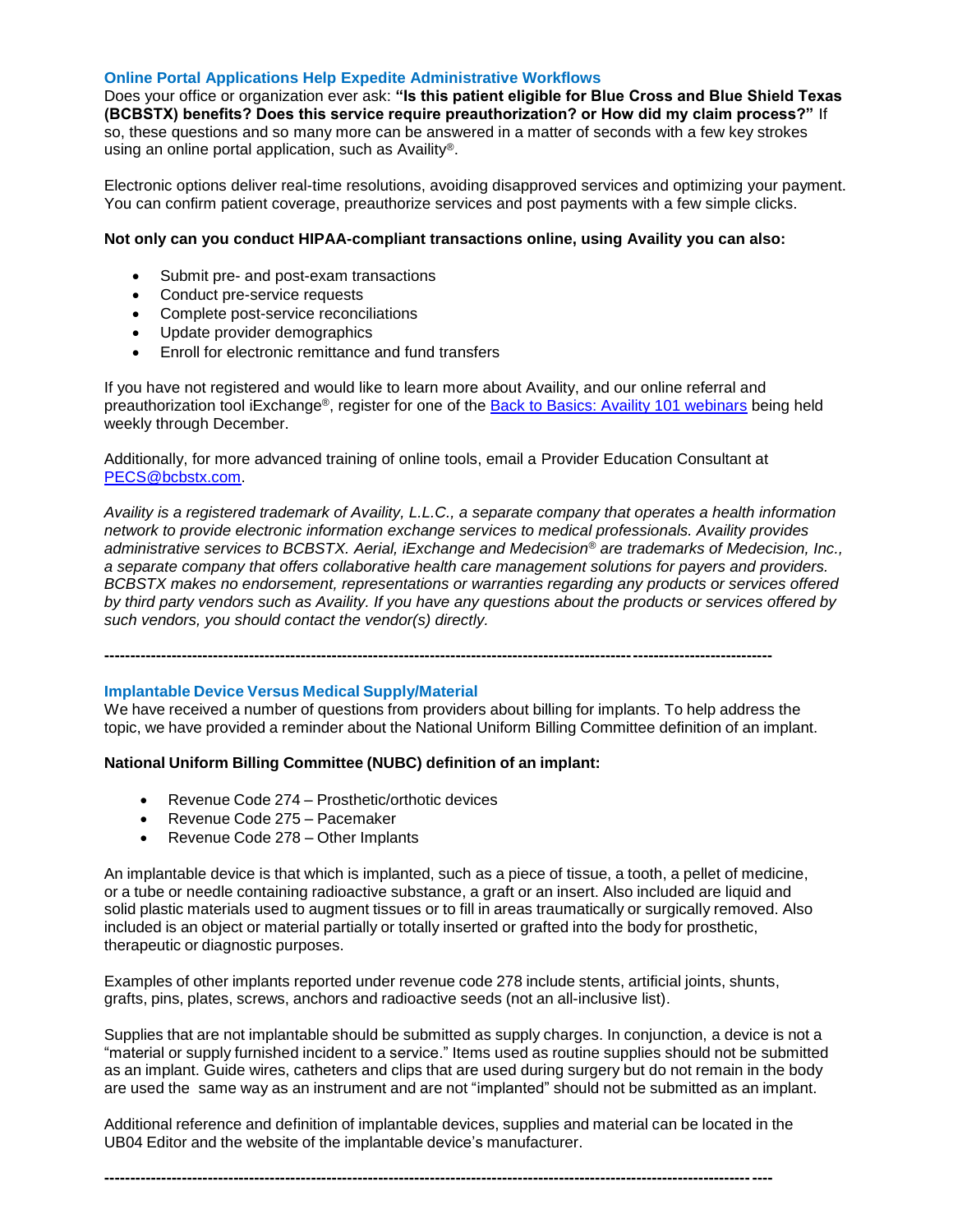#### **Online Portal Applications Help Expedite Administrative Workflows**

Does your office or organization ever ask: **"Is this patient eligible for Blue Cross and Blue Shield Texas (BCBSTX) benefits? Does this service require preauthorization? or How did my claim process?"** If so, these questions and so many more can be answered in a matter of seconds with a few key strokes using an online portal application, such as Availity®.

Electronic options deliver real-time resolutions, avoiding disapproved services and optimizing your payment. You can confirm patient coverage, preauthorize services and post payments with a few simple clicks.

### **Not only can you conduct HIPAA-compliant transactions online, using Availity you can also:**

- Submit pre- and post-exam transactions
- Conduct pre-service requests
- Complete post-service reconciliations
- Update provider demographics
- Enroll for electronic remittance and fund transfers

If you have not registered and would like to learn more about Availity, and our online referral and preauthorization tool iExchange®, register for one of the [Back to Basics: Availity 101 webinars](https://www.bcbstx.com/provider/training/provider_education.html) being held weekly through December.

Additionally, for more advanced training of online tools, email a Provider Education Consultant at [PECS@bcbstx.com.](mailto:PECS@bcbstx.com)

*Availity is a registered trademark of Availity, L.L.C., a separate company that operates a health information network to provide electronic information exchange services to medical professionals. Availity provides administrative services to BCBSTX. Aerial, iExchange and Medecision® are trademarks of Medecision, Inc., a separate company that offers collaborative health care management solutions for payers and providers. BCBSTX makes no endorsement, representations or warranties regarding any products or services offered by third party vendors such as Availity. If you have any questions about the products or services offered by such vendors, you should contact the vendor(s) directly.*

**---------------------------------------------------------------------------------------------------------------------------------**

### **Implantable Device Versus Medical Supply/Material**

We have received a number of questions from providers about billing for implants. To help address the topic, we have provided a reminder about the National Uniform Billing Committee definition of an implant.

### **National Uniform Billing Committee (NUBC) definition of an implant:**

- Revenue Code 274 Prosthetic/orthotic devices
- Revenue Code 275 Pacemaker
- Revenue Code 278 Other Implants

An implantable device is that which is implanted, such as a piece of tissue, a tooth, a pellet of medicine, or a tube or needle containing radioactive substance, a graft or an insert. Also included are liquid and solid plastic materials used to augment tissues or to fill in areas traumatically or surgically removed. Also included is an object or material partially or totally inserted or grafted into the body for prosthetic, therapeutic or diagnostic purposes.

Examples of other implants reported under revenue code 278 include stents, artificial joints, shunts, grafts, pins, plates, screws, anchors and radioactive seeds (not an all-inclusive list).

Supplies that are not implantable should be submitted as supply charges. In conjunction, a device is not a "material or supply furnished incident to a service." Items used as routine supplies should not be submitted as an implant. Guide wires, catheters and clips that are used during surgery but do not remain in the body are used the same way as an instrument and are not "implanted" should not be submitted as an implant.

Additional reference and definition of implantable devices, supplies and material can be located in the UB04 Editor and the website of the implantable device's manufacturer.

**---------------------------------------------------------------------------------------------------------------------------------**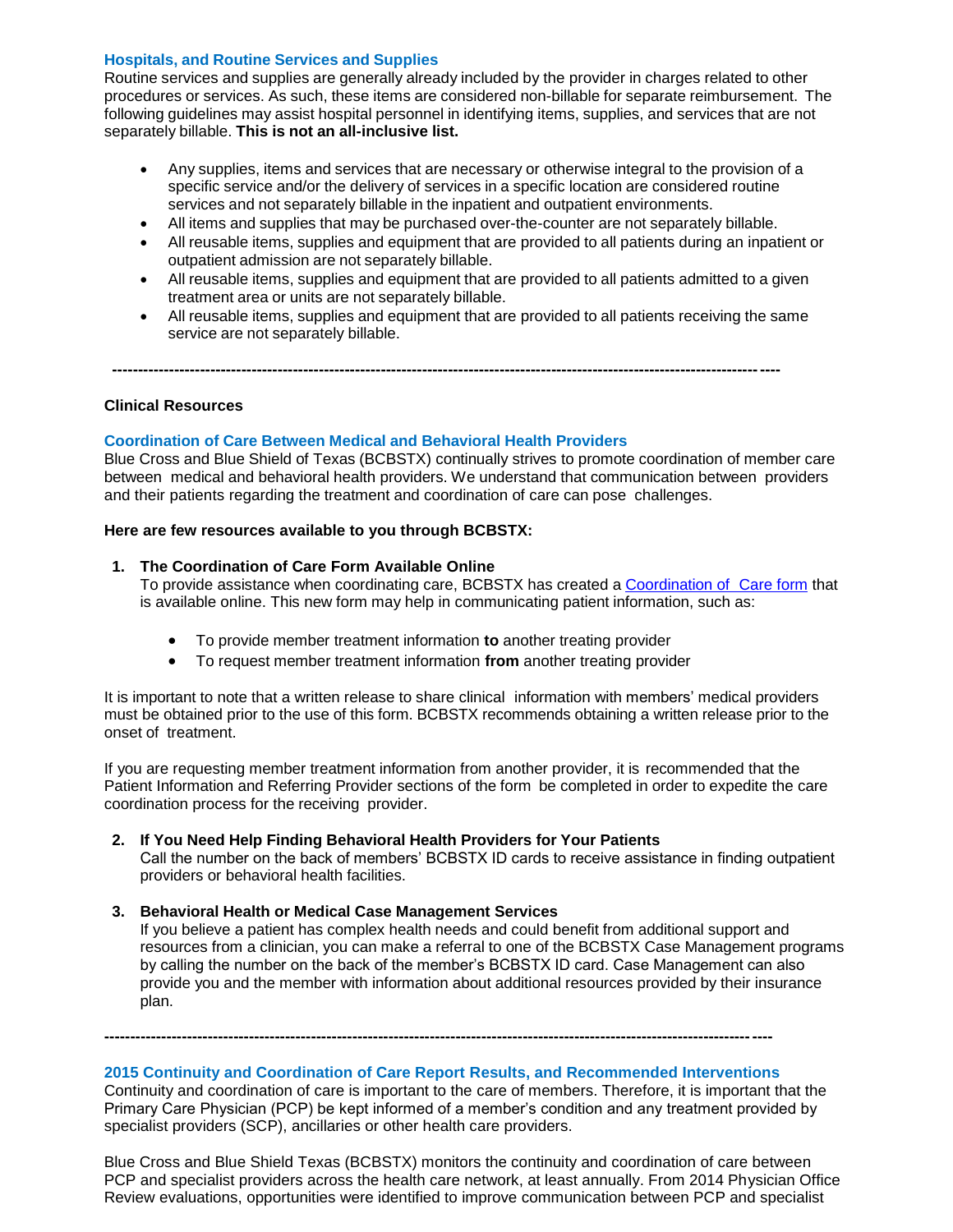### **Hospitals, and Routine Services and Supplies**

Routine services and supplies are generally already included by the provider in charges related to other procedures or services. As such, these items are considered non-billable for separate reimbursement. The following guidelines may assist hospital personnel in identifying items, supplies, and services that are not separately billable. **This is not an all-inclusive list.**

- Any supplies, items and services that are necessary or otherwise integral to the provision of a specific service and/or the delivery of services in a specific location are considered routine services and not separately billable in the inpatient and outpatient environments.
- All items and supplies that may be purchased over-the-counter are not separately billable.
- All reusable items, supplies and equipment that are provided to all patients during an inpatient or outpatient admission are not separately billable.
- All reusable items, supplies and equipment that are provided to all patients admitted to a given treatment area or units are not separately billable.
- All reusable items, supplies and equipment that are provided to all patients receiving the same service are not separately billable.

**---------------------------------------------------------------------------------------------------------------------------------**

### **Clinical Resources**

### **Coordination of Care Between Medical and Behavioral Health Providers**

Blue Cross and Blue Shield of Texas (BCBSTX) continually strives to promote coordination of member care between medical and behavioral health providers. We understand that communication between providers and their patients regarding the treatment and coordination of care can pose challenges.

### **Here are few resources available to you through BCBSTX:**

### **1. The Coordination of Care Form Available Online**

To provide assistance when coordinating care, BCBSTX has created a [Coordination](http://www.bcbstx.com/provider/pdf/bh_coordination_care.pdf) of Care form that is available online. This new form may help in communicating patient information, such as:

- To provide member treatment information **to** another treating provider
- To request member treatment information **from** another treating provider

It is important to note that a written release to share clinical information with members' medical providers must be obtained prior to the use of this form. BCBSTX recommends obtaining a written release prior to the onset of treatment.

If you are requesting member treatment information from another provider, it is recommended that the Patient Information and Referring Provider sections of the form be completed in order to expedite the care coordination process for the receiving provider.

### **2. If You Need Help Finding Behavioral Health Providers for Your Patients**

Call the number on the back of members' BCBSTX ID cards to receive assistance in finding outpatient providers or behavioral health facilities.

### **3. Behavioral Health or Medical Case Management Services**

If you believe a patient has complex health needs and could benefit from additional support and resources from a clinician, you can make a referral to one of the BCBSTX Case Management programs by calling the number on the back of the member's BCBSTX ID card. Case Management can also provide you and the member with information about additional resources provided by their insurance plan.

# **--------------------------------------------------------------------------------------------------------------------------------- 2015 Continuity and Coordination of Care Report Results, and Recommended Interventions**

Continuity and coordination of care is important to the care of members. Therefore, it is important that the Primary Care Physician (PCP) be kept informed of a member's condition and any treatment provided by specialist providers (SCP), ancillaries or other health care providers.

Blue Cross and Blue Shield Texas (BCBSTX) monitors the continuity and coordination of care between PCP and specialist providers across the health care network, at least annually. From 2014 Physician Office Review evaluations, opportunities were identified to improve communication between PCP and specialist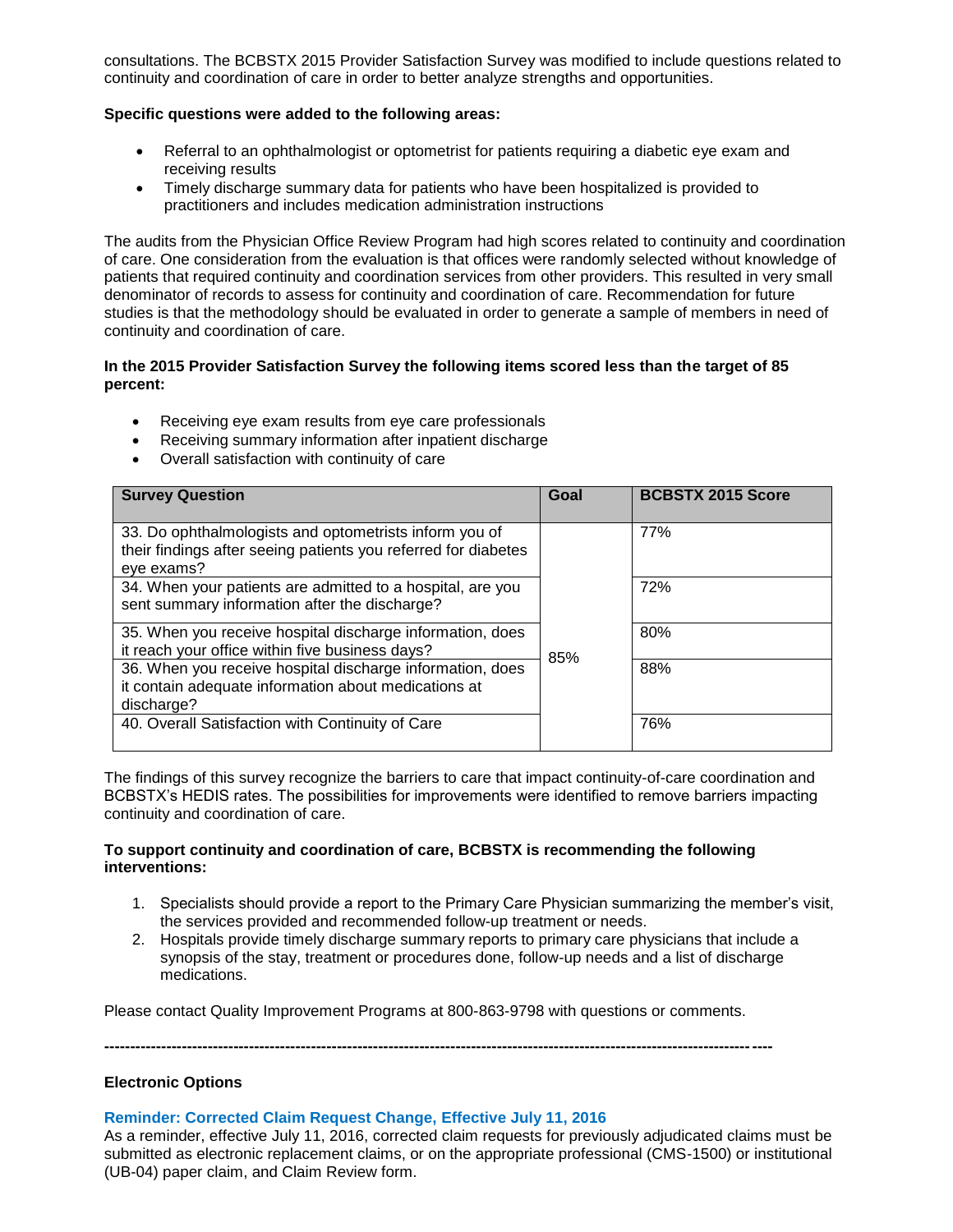consultations. The BCBSTX 2015 Provider Satisfaction Survey was modified to include questions related to continuity and coordination of care in order to better analyze strengths and opportunities.

### **Specific questions were added to the following areas:**

- Referral to an ophthalmologist or optometrist for patients requiring a diabetic eye exam and receiving results
- Timely discharge summary data for patients who have been hospitalized is provided to practitioners and includes medication administration instructions

The audits from the Physician Office Review Program had high scores related to continuity and coordination of care. One consideration from the evaluation is that offices were randomly selected without knowledge of patients that required continuity and coordination services from other providers. This resulted in very small denominator of records to assess for continuity and coordination of care. Recommendation for future studies is that the methodology should be evaluated in order to generate a sample of members in need of continuity and coordination of care.

### **In the 2015 Provider Satisfaction Survey the following items scored less than the target of 85 percent:**

- Receiving eye exam results from eye care professionals
- Receiving summary information after inpatient discharge
- Overall satisfaction with continuity of care

| <b>Survey Question</b>                                                                                                                 | Goal | <b>BCBSTX 2015 Score</b> |
|----------------------------------------------------------------------------------------------------------------------------------------|------|--------------------------|
| 33. Do ophthalmologists and optometrists inform you of<br>their findings after seeing patients you referred for diabetes<br>eye exams? |      | 77%                      |
| 34. When your patients are admitted to a hospital, are you<br>sent summary information after the discharge?                            |      | 72%                      |
| 35. When you receive hospital discharge information, does<br>it reach your office within five business days?                           | 85%  | 80%                      |
| 36. When you receive hospital discharge information, does<br>it contain adequate information about medications at<br>discharge?        |      | 88%                      |
| 40. Overall Satisfaction with Continuity of Care                                                                                       |      | 76%                      |

The findings of this survey recognize the barriers to care that impact continuity-of-care coordination and BCBSTX's HEDIS rates. The possibilities for improvements were identified to remove barriers impacting continuity and coordination of care.

### **To support continuity and coordination of care, BCBSTX is recommending the following interventions:**

- 1. Specialists should provide a report to the Primary Care Physician summarizing the member's visit, the services provided and recommended follow-up treatment or needs.
- 2. Hospitals provide timely discharge summary reports to primary care physicians that include a synopsis of the stay, treatment or procedures done, follow-up needs and a list of discharge medications.

Please contact Quality Improvement Programs at 800-863-9798 with questions or comments.

**---------------------------------------------------------------------------------------------------------------------------------**

### **Electronic Options**

### **Reminder: Corrected Claim Request Change, Effective July 11, 2016**

As a reminder, effective July 11, 2016, corrected claim requests for previously adjudicated claims must be submitted as electronic replacement claims, or on the appropriate professional (CMS-1500) or institutional (UB-04) paper claim, and Claim Review form.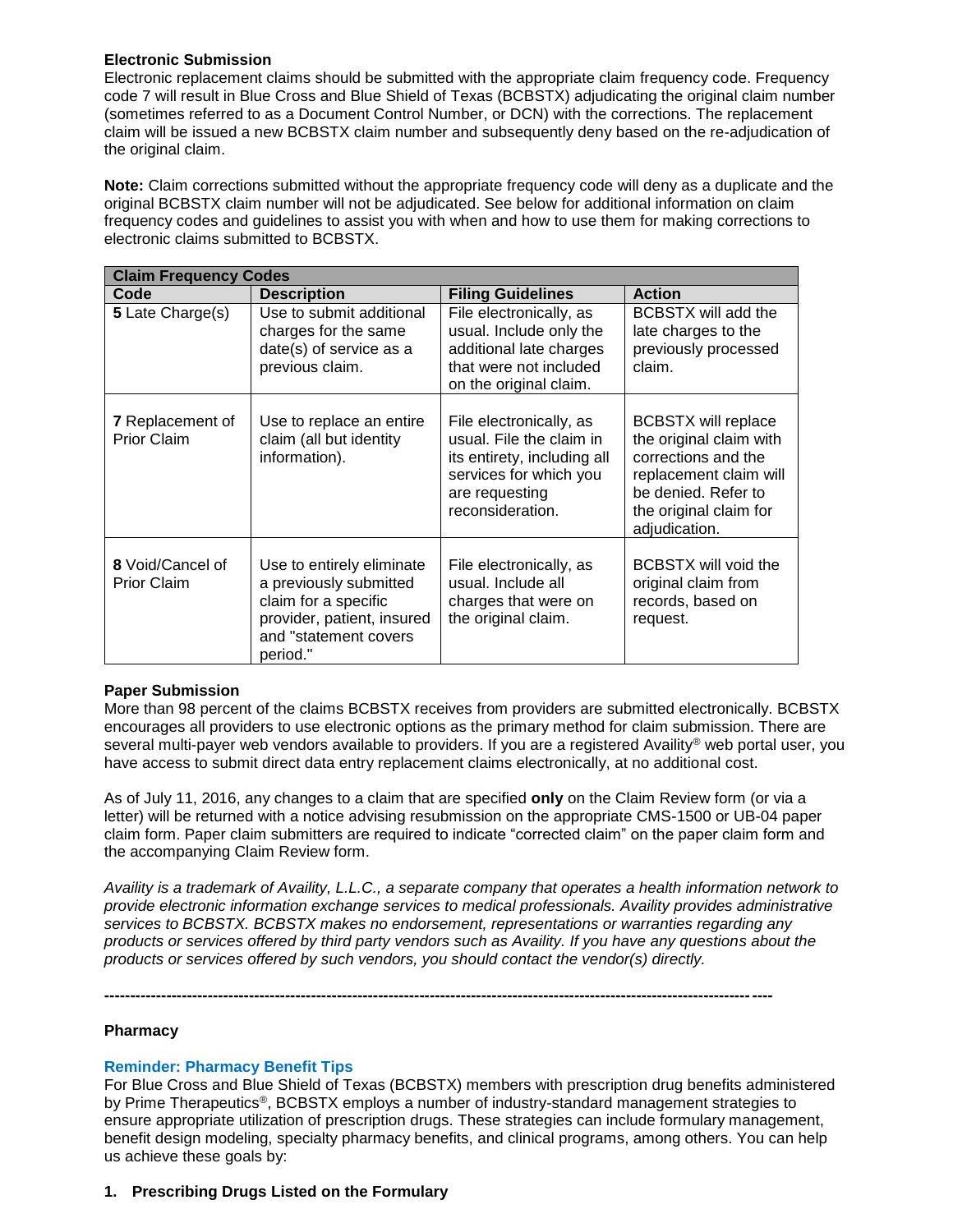# **Electronic Submission**

Electronic replacement claims should be submitted with the appropriate claim frequency code. Frequency code 7 will result in Blue Cross and Blue Shield of Texas (BCBSTX) adjudicating the original claim number (sometimes referred to as a Document Control Number, or DCN) with the corrections. The replacement claim will be issued a new BCBSTX claim number and subsequently deny based on the re-adjudication of the original claim.

**Note:** Claim corrections submitted without the appropriate frequency code will deny as a duplicate and the original BCBSTX claim number will not be adjudicated. See below for additional information on claim frequency codes and guidelines to assist you with when and how to use them for making corrections to electronic claims submitted to BCBSTX.

| <b>Claim Frequency Codes</b>           |                                                                                                                                                |                                                                                                                                                    |                                                                                                                                                                          |
|----------------------------------------|------------------------------------------------------------------------------------------------------------------------------------------------|----------------------------------------------------------------------------------------------------------------------------------------------------|--------------------------------------------------------------------------------------------------------------------------------------------------------------------------|
| Code                                   | <b>Description</b>                                                                                                                             | <b>Filing Guidelines</b>                                                                                                                           | <b>Action</b>                                                                                                                                                            |
| 5 Late Charge(s)                       | Use to submit additional<br>charges for the same<br>date(s) of service as a<br>previous claim.                                                 | File electronically, as<br>usual. Include only the<br>additional late charges<br>that were not included<br>on the original claim.                  | <b>BCBSTX will add the</b><br>late charges to the<br>previously processed<br>claim.                                                                                      |
| 7 Replacement of<br><b>Prior Claim</b> | Use to replace an entire<br>claim (all but identity<br>information).                                                                           | File electronically, as<br>usual. File the claim in<br>its entirety, including all<br>services for which you<br>are requesting<br>reconsideration. | <b>BCBSTX will replace</b><br>the original claim with<br>corrections and the<br>replacement claim will<br>be denied. Refer to<br>the original claim for<br>adjudication. |
| 8 Void/Cancel of<br><b>Prior Claim</b> | Use to entirely eliminate<br>a previously submitted<br>claim for a specific<br>provider, patient, insured<br>and "statement covers<br>period." | File electronically, as<br>usual. Include all<br>charges that were on<br>the original claim.                                                       | <b>BCBSTX will void the</b><br>original claim from<br>records, based on<br>request.                                                                                      |

# **Paper Submission**

More than 98 percent of the claims BCBSTX receives from providers are submitted electronically. BCBSTX encourages all providers to use electronic options as the primary method for claim submission. There are several multi-payer web vendors available to providers. If you are a registered Availity® web portal user, you have access to submit direct data entry replacement claims electronically, at no additional cost.

As of July 11, 2016, any changes to a claim that are specified **only** on the Claim Review form (or via a letter) will be returned with a notice advising resubmission on the appropriate CMS-1500 or UB-04 paper claim form. Paper claim submitters are required to indicate "corrected claim" on the paper claim form and the accompanying Claim Review form.

*Availity is a trademark of Availity, L.L.C., a separate company that operates a health information network to provide electronic information exchange services to medical professionals. Availity provides administrative services to BCBSTX. BCBSTX makes no endorsement, representations or warranties regarding any products or services offered by third party vendors such as Availity. If you have any questions about the products or services offered by such vendors, you should contact the vendor(s) directly.*

**---------------------------------------------------------------------------------------------------------------------------------**

### **Pharmacy**

# **Reminder: Pharmacy Benefit Tips**

For Blue Cross and Blue Shield of Texas (BCBSTX) members with prescription drug benefits administered by Prime Therapeutics®, BCBSTX employs a number of industry-standard management strategies to ensure appropriate utilization of prescription drugs. These strategies can include formulary management, benefit design modeling, specialty pharmacy benefits, and clinical programs, among others. You can help us achieve these goals by:

### **1. Prescribing Drugs Listed on the Formulary**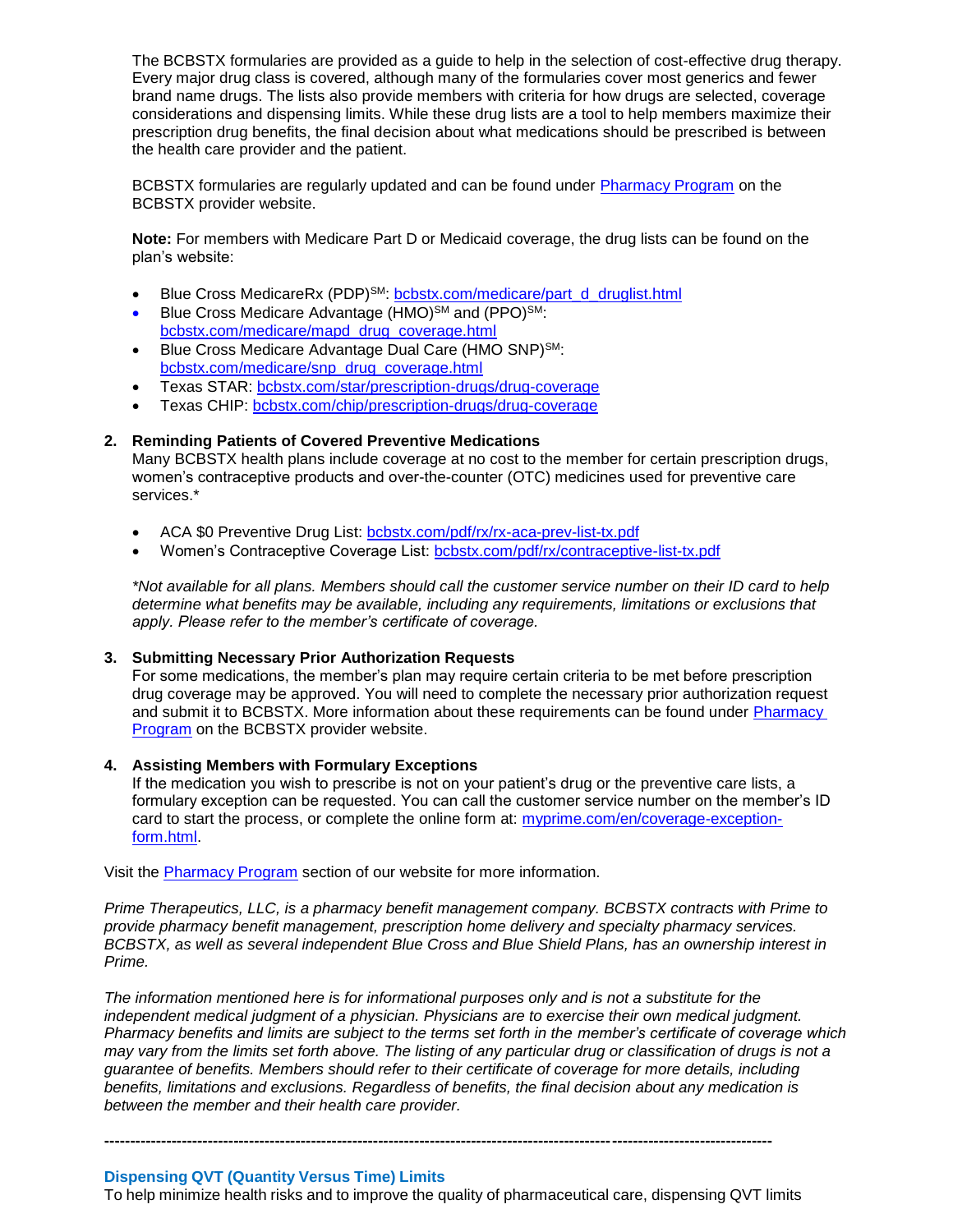The BCBSTX formularies are provided as a guide to help in the selection of cost-effective drug therapy. Every major drug class is covered, although many of the formularies cover most generics and fewer brand name drugs. The lists also provide members with criteria for how drugs are selected, coverage considerations and dispensing limits. While these drug lists are a tool to help members maximize their prescription drug benefits, the final decision about what medications should be prescribed is between the health care provider and the patient.

BCBSTX formularies are regularly updated and can be found under [Pharmacy Program](http://www.bcbstx.com/provider/pharmacy/index.html) on the BCBSTX provider website.

**Note:** For members with Medicare Part D or Medicaid coverage, the drug lists can be found on the plan's website:

- Blue Cross MedicareRx (PDP)<sup>SM</sup>: [bcbstx.com/medicare/part\\_d\\_druglist.html](http://www.bcbstx.com/medicare/part_d_druglist.html)
- Blue Cross Medicare Advantage (HMO)<sup>SM</sup> and (PPO)<sup>SM</sup>: [bcbstx.com/medicare/mapd\\_drug\\_coverage.html](http://www.bcbstx.com/medicare/mapd_drug_coverage.html)
- Blue Cross Medicare Advantage Dual Care (HMO SNP)SM: [bcbstx.com/medicare/snp\\_drug\\_coverage.html](http://www.bcbstx.com/medicare/snp_drug_coverage.html)
- Texas STAR: [bcbstx.com/star/prescription-drugs/drug-coverage](http://www.bcbstx.com/star/prescription-drugs/drug-coverage)
- Texas CHIP: [bcbstx.com/chip/prescription-drugs/drug-coverage](http://www.bcbstx.com/chip/prescription-drugs/drug-coverage)

### **2. Reminding Patients of Covered Preventive Medications**

Many BCBSTX health plans include coverage at no cost to the member for certain prescription drugs, women's contraceptive products and over-the-counter (OTC) medicines used for preventive care services.\*

- ACA \$0 Preventive Drug List: [bcbstx.com/pdf/rx/rx-aca-prev-list-tx.pdf](http://www.bcbstx.com/pdf/rx/rx-aca-prev-list-tx.pdf)
- Women's Contraceptive Coverage List: [bcbstx.com/pdf/rx/contraceptive-list-tx.pdf](http://www.bcbstx.com/pdf/rx/contraceptive-list-tx.pdf)

*\*Not available for all plans. Members should call the customer service number on their ID card to help determine what benefits may be available, including any requirements, limitations or exclusions that apply. Please refer to the member's certificate of coverage.*

### **3. Submitting Necessary Prior Authorization Requests**

For some medications, the member's plan may require certain criteria to be met before prescription drug coverage may be approved. You will need to complete the necessary prior authorization request and submit it to BCBSTX. More information about these requirements can be found under [Pharmacy](http://www.bcbstx.com/provider/pharmacy/index.html)  [Program](http://www.bcbstx.com/provider/pharmacy/index.html) on the BCBSTX provider website.

### **4. Assisting Members with Formulary Exceptions**

If the medication you wish to prescribe is not on your patient's drug or the preventive care lists, a formulary exception can be requested. You can call the customer service number on the member's ID card to start the process, or complete the online form at: [myprime.com/en/coverage-exception](http://www.myprime.com/en/coverage-exception-form.html)[form.html.](http://www.myprime.com/en/coverage-exception-form.html)

Visit the [Pharmacy Program](http://www.bcbstx.com/provider/pharmacy/index.html) section of our website for more information.

*Prime Therapeutics, LLC, is a pharmacy benefit management company. BCBSTX contracts with Prime to provide pharmacy benefit management, prescription home delivery and specialty pharmacy services. BCBSTX, as well as several independent Blue Cross and Blue Shield Plans, has an ownership interest in Prime.* 

*The information mentioned here is for informational purposes only and is not a substitute for the independent medical judgment of a physician. Physicians are to exercise their own medical judgment. Pharmacy benefits and limits are subject to the terms set forth in the member's certificate of coverage which may vary from the limits set forth above. The listing of any particular drug or classification of drugs is not a guarantee of benefits. Members should refer to their certificate of coverage for more details, including benefits, limitations and exclusions. Regardless of benefits, the final decision about any medication is between the member and their health care provider.*

#### **Dispensing QVT (Quantity Versus Time) Limits**

To help minimize health risks and to improve the quality of pharmaceutical care, dispensing QVT limits

**---------------------------------------------------------------------------------------------------------------------------------**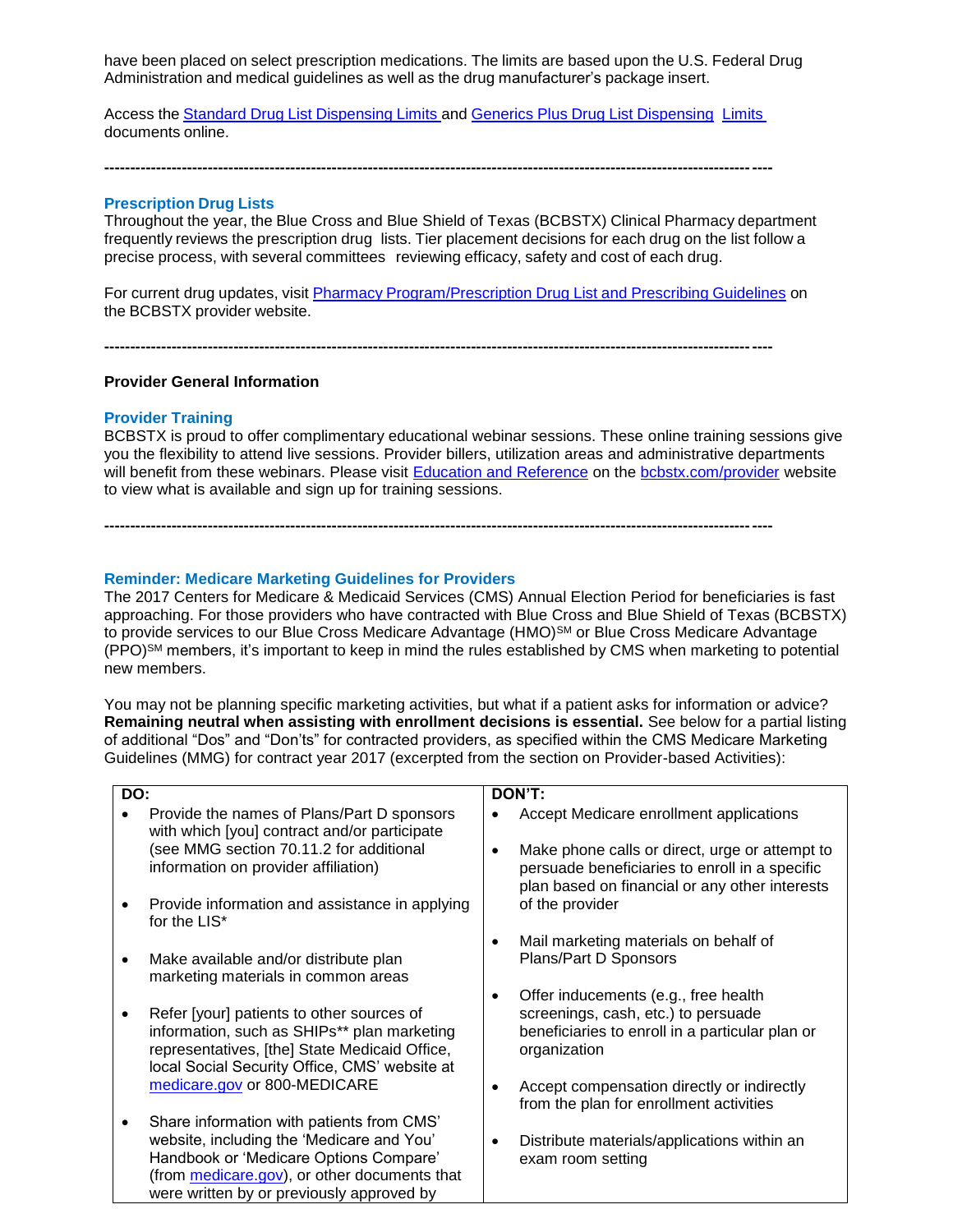have been placed on select prescription medications. The limits are based upon the U.S. Federal Drug Administration and medical guidelines as well as the drug manufacturer's package insert.

Access the Standard Drug List [Dispensing](https://www.bcbstx.com/pdf/rx/rx_dispensing_limits_std_tx.pdf) Limits and Generics Plus Drug List [Dispensing](https://www.bcbstx.com/pdf/rx/rx_dispensing_limits_gen_tx.pdf) Limits documents online.

**---------------------------------------------------------------------------------------------------------------------------------**

### **Prescription Drug Lists**

Throughout the year, the Blue Cross and Blue Shield of Texas (BCBSTX) Clinical Pharmacy department frequently reviews the prescription drug lists. Tier placement decisions for each drug on the list follow a precise process, with several committees reviewing efficacy, safety and cost of each drug.

For current drug updates, visit Pharmacy [Program/Prescription](http://www.bcbstx.com/provider/pharmacy/rx_list.html) Drug List and Prescribing Guidelines on the BCBSTX provider website.

**---------------------------------------------------------------------------------------------------------------------------------**

**---------------------------------------------------------------------------------------------------------------------------------**

### **Provider General Information**

### **Provider Training**

BCBSTX is proud to offer complimentary educational webinar sessions. These online training sessions give you the flexibility to attend live sessions. Provider billers, utilization areas and administrative departments will benefit from these webinars. Please visit [Education and Reference](http://www.bcbstx.com/provider/training/index.html) on the [bcbstx.com/provider](http://www.bcbstx.com/provider/index.html) website to view what is available and sign up for training sessions.

### **Reminder: Medicare Marketing Guidelines for Providers**

The 2017 Centers for Medicare & Medicaid Services (CMS) Annual Election Period for beneficiaries is fast approaching. For those providers who have contracted with Blue Cross and Blue Shield of Texas (BCBSTX) to provide services to our Blue Cross Medicare Advantage (HMO)<sup>SM</sup> or Blue Cross Medicare Advantage (PPO)SM members, it's important to keep in mind the rules established by CMS when marketing to potential new members.

You may not be planning specific marketing activities, but what if a patient asks for information or advice? **Remaining neutral when assisting with enrollment decisions is essential.** See below for a partial listing of additional "Dos" and "Don'ts" for contracted providers, as specified within the CMS Medicare Marketing Guidelines (MMG) for contract year 2017 (excerpted from the section on Provider-based Activities):

| DO:       |                                                                                                                                                                                                                               | DON'T:                                                                                                                                              |
|-----------|-------------------------------------------------------------------------------------------------------------------------------------------------------------------------------------------------------------------------------|-----------------------------------------------------------------------------------------------------------------------------------------------------|
|           | Provide the names of Plans/Part D sponsors<br>with which [you] contract and/or participate                                                                                                                                    | Accept Medicare enrollment applications                                                                                                             |
|           | see MMG section 70.11.2 for additional<br>information on provider affiliation)                                                                                                                                                | Make phone calls or direct, urge or attempt to<br>persuade beneficiaries to enroll in a specific<br>plan based on financial or any other interests  |
|           | Provide information and assistance in applying<br>for the LIS*                                                                                                                                                                | of the provider                                                                                                                                     |
| $\bullet$ | Make available and/or distribute plan<br>marketing materials in common areas                                                                                                                                                  | Mail marketing materials on behalf of<br>Plans/Part D Sponsors                                                                                      |
| ٠         | Refer [your] patients to other sources of<br>information, such as SHIPs** plan marketing<br>representatives, [the] State Medicaid Office,<br>local Social Security Office, CMS' website at                                    | Offer inducements (e.g., free health<br>٠<br>screenings, cash, etc.) to persuade<br>beneficiaries to enroll in a particular plan or<br>organization |
|           | medicare.gov or 800-MEDICARE                                                                                                                                                                                                  | Accept compensation directly or indirectly<br>from the plan for enrollment activities                                                               |
|           | Share information with patients from CMS'<br>website, including the 'Medicare and You'<br>Handbook or 'Medicare Options Compare'<br>(from medicare.gov), or other documents that<br>were written by or previously approved by | Distribute materials/applications within an<br>exam room setting                                                                                    |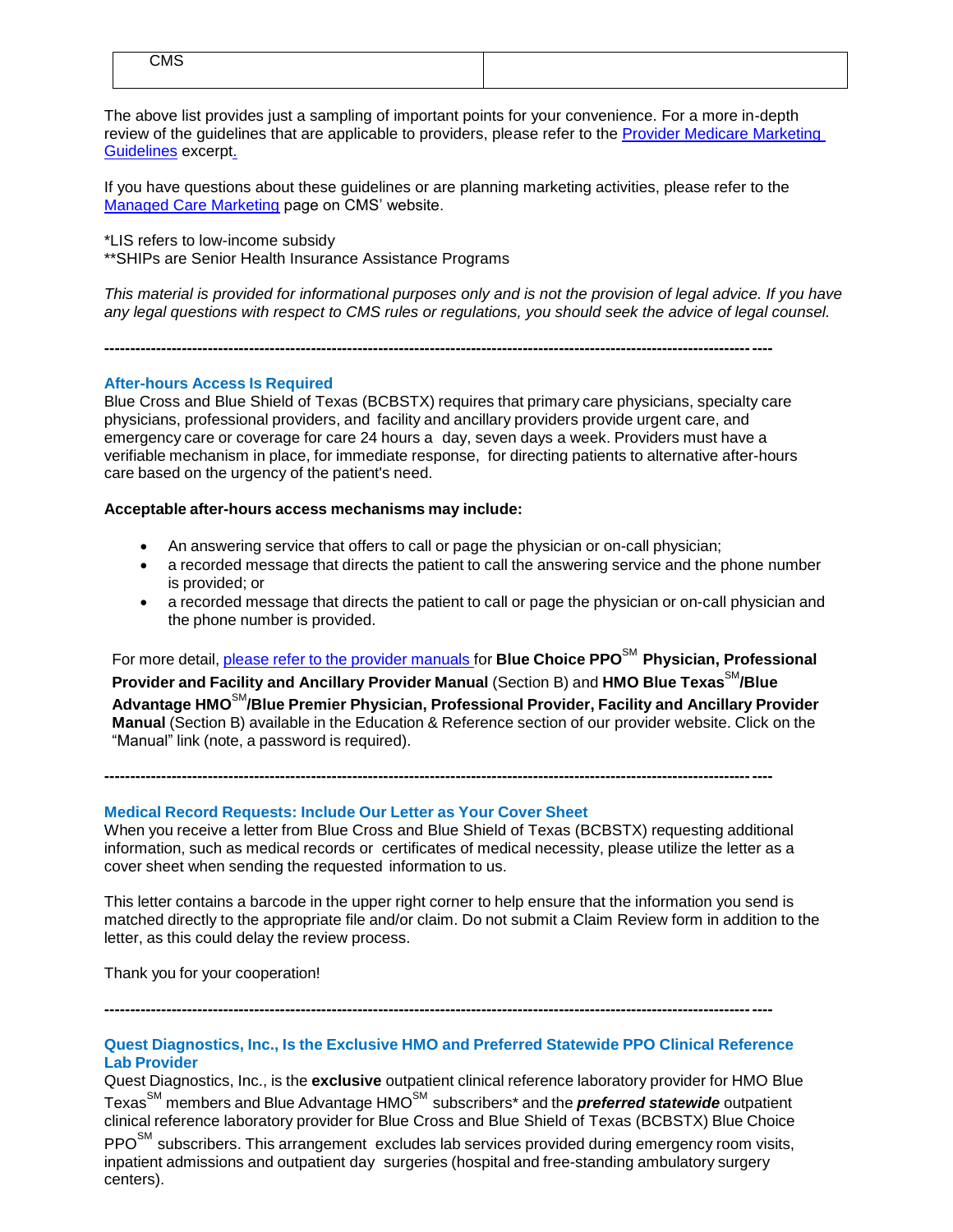| CMS |  |
|-----|--|
|     |  |

The above list provides just a sampling of important points for your convenience. For a more in-depth review of the guidelines that are applicable to providers, please refer to the [Provider Medicare Marketing](http://www.bcbstx.com/provider/pdf/medicare_marketing_guidelines.pdf)  [Guidelines](http://www.bcbstx.com/provider/pdf/medicare_marketing_guidelines.pdf) excerpt.

If you have questions about these guidelines or are planning marketing activities, please refer to the [Managed Care Marketing](https://www.cms.gov/Medicare/Health-Plans/ManagedCareMarketing/index.html) page on CMS' website.

\*LIS refers to low-income subsidy

\*\*SHIPs are Senior Health Insurance Assistance Programs

This material is provided for informational purposes only and is not the provision of legal advice. If you have *any legal questions with respect to CMS rules or regulations, you should seek the advice of legal counsel.* 

**---------------------------------------------------------------------------------------------------------------------------------**

### **After-hours Access Is Required**

Blue Cross and Blue Shield of Texas (BCBSTX) requires that primary care physicians, specialty care physicians, professional providers, and facility and ancillary providers provide urgent care, and emergency care or coverage for care 24 hours a day, seven days a week. Providers must have a verifiable mechanism in place, for immediate response, for directing patients to alternative after-hours care based on the urgency of the patient's need.

#### **Acceptable after-hours access mechanisms may include:**

- An answering service that offers to call or page the physician or on-call physician;
- a recorded message that directs the patient to call the answering service and the phone number is provided; or
- a recorded message that directs the patient to call or page the physician or on-call physician and the phone number is provided.

For more detail, please refer to the provider [manuals](https://www.bcbstx.com/provider/gri/index.html) for **Blue Choice PPO**SM **Physician, Professional Provider and Facility and Ancillary Provider Manual** (Section B) and **HMO Blue Texas**SM**/Blue Advantage HMO**SM**/Blue Premier Physician, Professional Provider, Facility and Ancillary Provider Manual** (Section B) available in the Education & Reference section of our provider website. Click on the "Manual" link (note, a password is required).

**Medical Record Requests: Include Our Letter as Your Cover Sheet**

When you receive a letter from Blue Cross and Blue Shield of Texas (BCBSTX) requesting additional information, such as medical records or certificates of medical necessity, please utilize the letter as a cover sheet when sending the requested information to us.

**---------------------------------------------------------------------------------------------------------------------------------**

This letter contains a barcode in the upper right corner to help ensure that the information you send is matched directly to the appropriate file and/or claim. Do not submit a Claim Review form in addition to the letter, as this could delay the review process.

Thank you for your cooperation!

**---------------------------------------------------------------------------------------------------------------------------------**

# **Quest Diagnostics, Inc., Is the Exclusive HMO and Preferred Statewide PPO Clinical Reference Lab Provider**

Quest Diagnostics, Inc., is the **exclusive** outpatient clinical reference laboratory provider for HMO Blue Texas<sup>SM</sup> members and Blue Advantage HMO<sup>SM</sup> subscribers<sup>\*</sup> and the **preferred statewide** outpatient clinical reference laboratory provider for Blue Cross and Blue Shield of Texas (BCBSTX) Blue Choice  $PPO<sup>SM</sup>$  subscribers. This arrangement excludes lab services provided during emergency room visits, inpatient admissions and outpatient day surgeries (hospital and free-standing ambulatory surgery centers).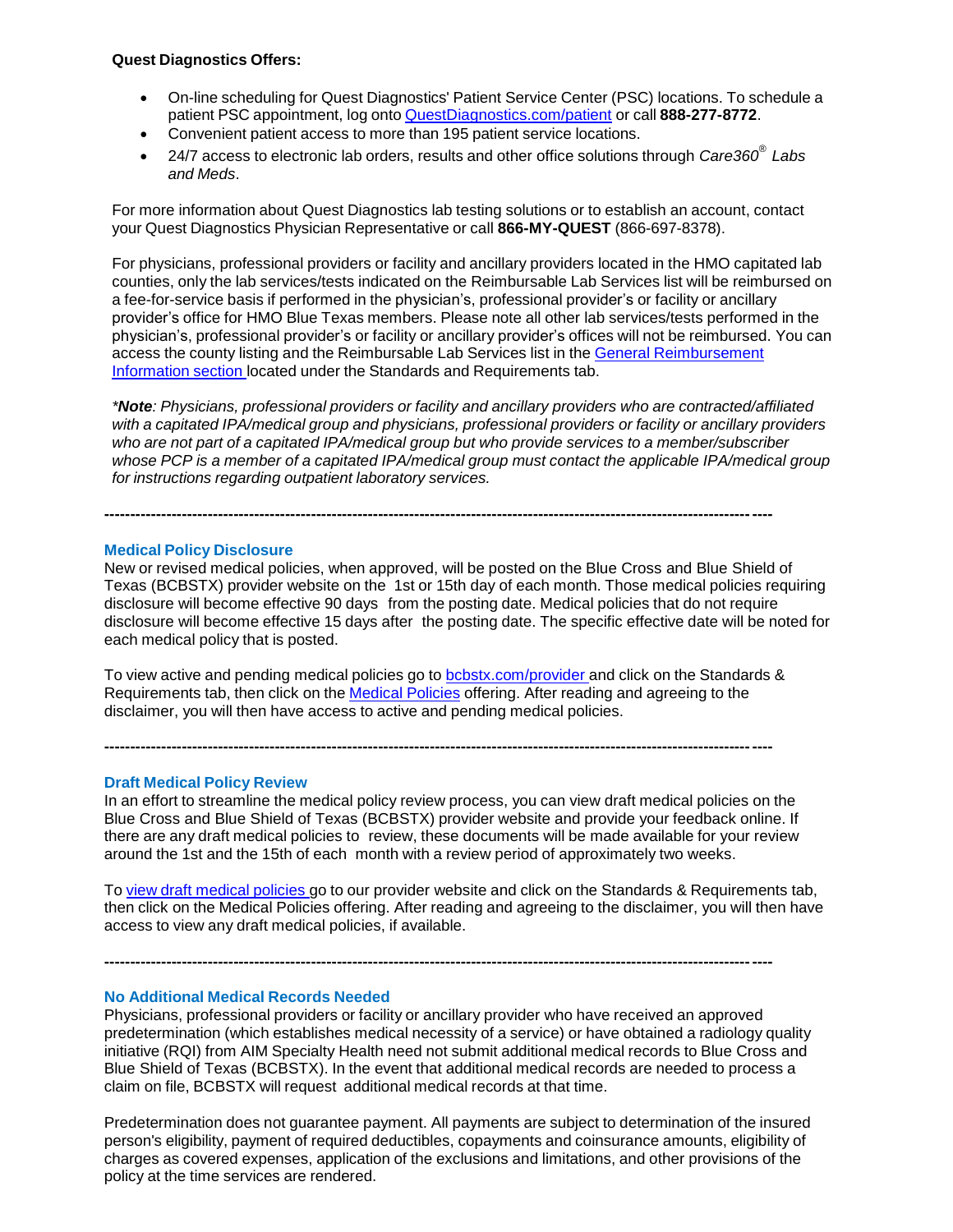### **Quest Diagnostics Offers:**

- On-line scheduling for Quest Diagnostics' Patient Service Center (PSC) locations. To schedule a patient PSC appointment, log onto [QuestDiagnostics.com/patient](https://www.questdiagnostics.com/home/patients) or call **888-277-8772**.
- Convenient patient access to more than 195 patient service locations.
- 24/7 access to electronic lab orders, results and other office solutions through *Care360® Labs and Meds*.

For more information about Quest Diagnostics lab testing solutions or to establish an account, contact your Quest Diagnostics Physician Representative or call **866-MY-QUEST** (866-697-8378).

For physicians, professional providers or facility and ancillary providers located in the HMO capitated lab counties, only the lab services/tests indicated on the Reimbursable Lab Services list will be reimbursed on a fee-for-service basis if performed in the physician's, professional provider's or facility or ancillary provider's office for HMO Blue Texas members. Please note all other lab services/tests performed in the physician's, professional provider's or facility or ancillary provider's offices will not be reimbursed. You can access the county listing and the Reimbursable Lab Services list in the General [Reimbursement](https://www.bcbstx.com/provider/gri/index.html) Information section located under the Standards and Requirements tab.

*\*Note: Physicians, professional providers or facility and ancillary providers who are contracted/affiliated with a capitated IPA/medical group and physicians, professional providers or facility or ancillary providers who are not part of a capitated IPA/medical group but who provide services to a member/subscriber whose PCP is a member of a capitated IPA/medical group must contact the applicable IPA/medical group for instructions regarding outpatient laboratory services.*

#### **Medical Policy Disclosure**

New or revised medical policies, when approved, will be posted on the Blue Cross and Blue Shield of Texas (BCBSTX) provider website on the 1st or 15th day of each month. Those medical policies requiring disclosure will become effective 90 days from the posting date. Medical policies that do not require disclosure will become effective 15 days after the posting date. The specific effective date will be noted for each medical policy that is posted.

To view active and pending medical policies go to [bcbstx.com/provider](https://www.bcbstx.com/provider/gri/index.html) and click on the Standards & Requirements tab, then click on the Medical [Policies](http://www.medicalpolicy.hcsc.net/medicalpolicy/disclaimer?corpEntCd=TX1) offering. After reading and agreeing to the disclaimer, you will then have access to active and pending medical policies.

**---------------------------------------------------------------------------------------------------------------------------------**

**---------------------------------------------------------------------------------------------------------------------------------**

### **Draft Medical Policy Review**

In an effort to streamline the medical policy review process, you can view draft medical policies on the Blue Cross and Blue Shield of Texas (BCBSTX) provider website and provide your feedback online. If there are any draft medical policies to review, these documents will be made available for your review around the 1st and the 15th of each month with a review period of approximately two weeks.

To view draft [medical](http://www.pages02.net/hcscnosuppression/nlt_br_providers_june_2016_b_ok_060116_in_every_issue/LPT.url?kn=900484&vs=YTVjNjZjMzUtOGRhNi00MDUwLWI1MDAtYTg0NTI3M2JkZmUxOzA6ODk5OTgwMToyMjY0ODg5MjYwNzo5NDAwOTQyMjQ6OTQwMDk0MjI0OwS2) policies go to our provider website and click on the Standards & Requirements tab, then click on the Medical Policies offering. After reading and agreeing to the disclaimer, you will then have access to view any draft medical policies, if available.

**---------------------------------------------------------------------------------------------------------------------------------**

#### **No Additional Medical Records Needed**

Physicians, professional providers or facility or ancillary provider who have received an approved predetermination (which establishes medical necessity of a service) or have obtained a radiology quality initiative (RQI) from AIM Specialty Health need not submit additional medical records to Blue Cross and Blue Shield of Texas (BCBSTX). In the event that additional medical records are needed to process a claim on file, BCBSTX will request additional medical records at that time.

Predetermination does not guarantee payment. All payments are subject to determination of the insured person's eligibility, payment of required deductibles, copayments and coinsurance amounts, eligibility of charges as covered expenses, application of the exclusions and limitations, and other provisions of the policy at the time services are rendered.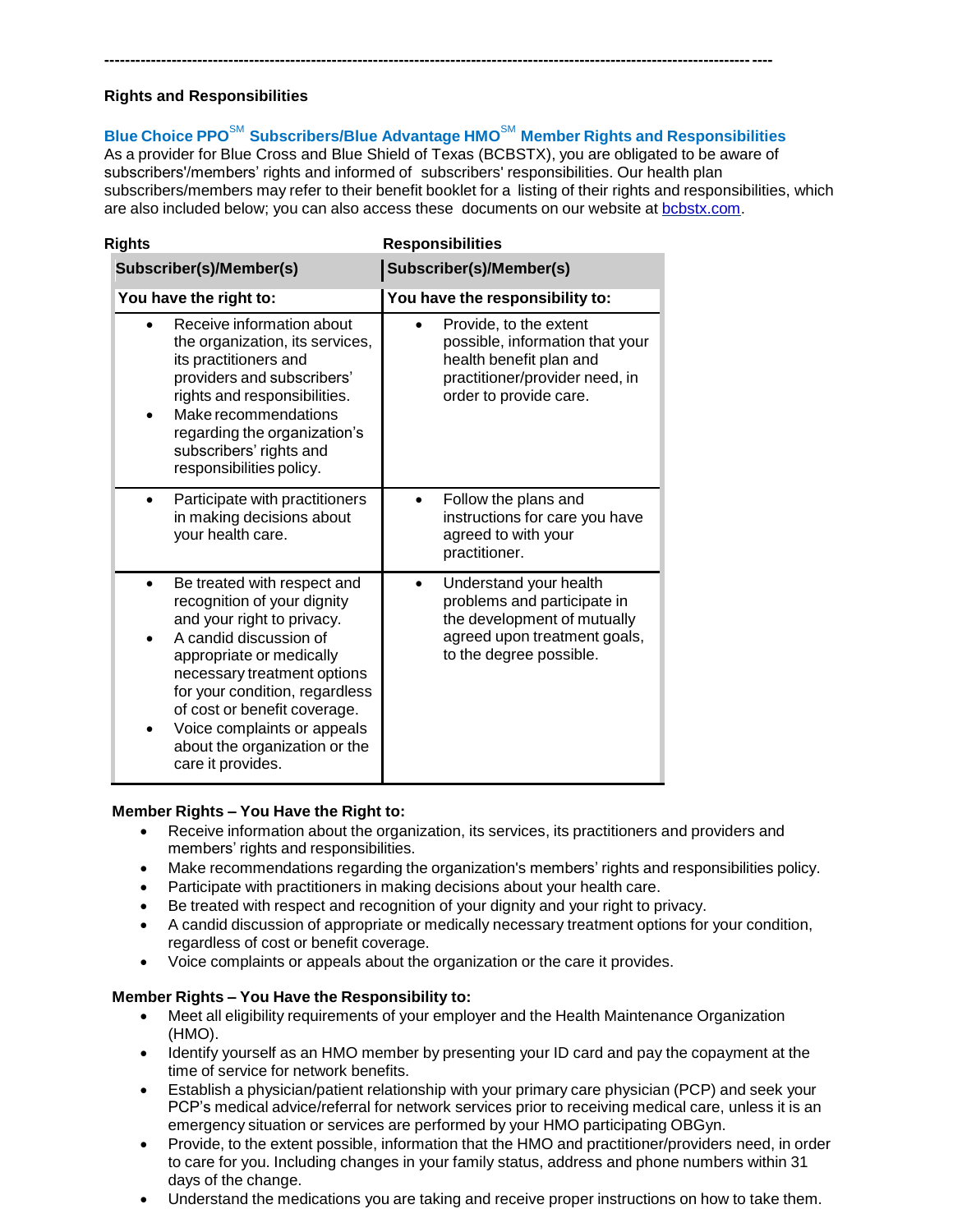# **Rights and Responsibilities**

**Blue Choice PPO**SM **Subscribers/Blue Advantage HMO**SM **Member Rights and Responsibilities** As a provider for Blue Cross and Blue Shield of Texas (BCBSTX), you are obligated to be aware of subscribers'/members' rights and informed of subscribers' responsibilities. Our health plan subscribers/members may refer to their benefit booklet for a listing of their rights and responsibilities, which

**---------------------------------------------------------------------------------------------------------------------------------**

are also included below; you can also access these documents on our website at [bcbstx.com.](http://www.pages02.net/hcscnosuppression/nlt_br_providers_june_2016_b_ok_060116_in_every_issue/LPT.url?kn=900473&vs=YTVjNjZjMzUtOGRhNi00MDUwLWI1MDAtYTg0NTI3M2JkZmUxOzA6ODk5OTgwMToyMjY0ODg5MjYwNzo5NDAwOTQyMjQ6OTQwMDk0MjI0OwS2)

| <b>Rights</b>                                                                                                                                                                                                                                                                                                                        | <b>Responsibilities</b>                                                                                                                          |  |
|--------------------------------------------------------------------------------------------------------------------------------------------------------------------------------------------------------------------------------------------------------------------------------------------------------------------------------------|--------------------------------------------------------------------------------------------------------------------------------------------------|--|
| Subscriber(s)/Member(s)                                                                                                                                                                                                                                                                                                              | Subscriber(s)/Member(s)                                                                                                                          |  |
| You have the right to:                                                                                                                                                                                                                                                                                                               | You have the responsibility to:                                                                                                                  |  |
| Receive information about<br>the organization, its services,<br>its practitioners and<br>providers and subscribers'<br>rights and responsibilities.<br>Make recommendations<br>regarding the organization's<br>subscribers' rights and<br>responsibilities policy.                                                                   | Provide, to the extent<br>possible, information that your<br>health benefit plan and<br>practitioner/provider need, in<br>order to provide care. |  |
| Participate with practitioners<br>in making decisions about<br>your health care.                                                                                                                                                                                                                                                     | Follow the plans and<br>instructions for care you have<br>agreed to with your<br>practitioner.                                                   |  |
| Be treated with respect and<br>recognition of your dignity<br>and your right to privacy.<br>A candid discussion of<br>appropriate or medically<br>necessary treatment options<br>for your condition, regardless<br>of cost or benefit coverage.<br>Voice complaints or appeals<br>about the organization or the<br>care it provides. | Understand your health<br>problems and participate in<br>the development of mutually<br>agreed upon treatment goals,<br>to the degree possible.  |  |

# **Member Rights – You Have the Right to:**

- Receive information about the organization, its services, its practitioners and providers and members' rights and responsibilities.
- Make recommendations regarding the organization's members' rights and responsibilities policy.
- Participate with practitioners in making decisions about your health care.
- Be treated with respect and recognition of your dignity and your right to privacy.
- A candid discussion of appropriate or medically necessary treatment options for your condition, regardless of cost or benefit coverage.
- Voice complaints or appeals about the organization or the care it provides.

# **Member Rights – You Have the Responsibility to:**

- Meet all eligibility requirements of your employer and the Health Maintenance Organization (HMO).
- Identify yourself as an HMO member by presenting your ID card and pay the copayment at the time of service for network benefits.
- Establish a physician/patient relationship with your primary care physician (PCP) and seek your PCP's medical advice/referral for network services prior to receiving medical care, unless it is an emergency situation or services are performed by your HMO participating OBGyn.
- Provide, to the extent possible, information that the HMO and practitioner/providers need, in order to care for you. Including changes in your family status, address and phone numbers within 31 days of the change.
- Understand the medications you are taking and receive proper instructions on how to take them.